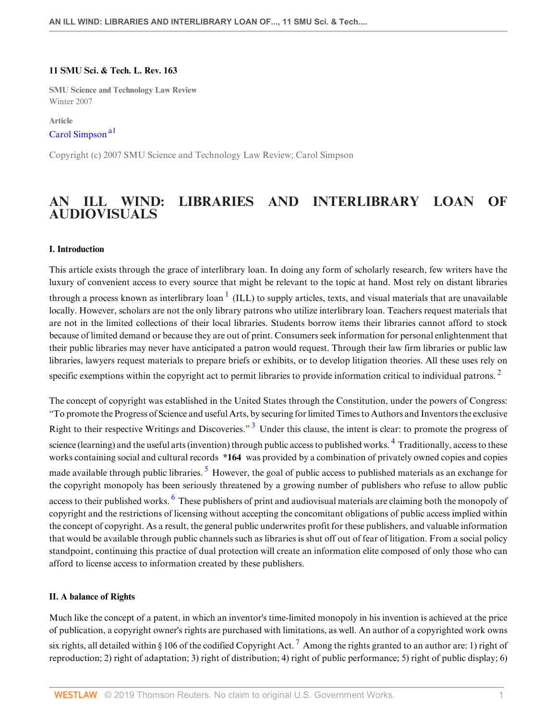### **11 SMU Sci. & Tech. L. Rev. 163**

**SMU Science and Technology Law Review** Winter 2007

<span id="page-0-0"></span>**Article** [Carol Simpson](http://www.westlaw.com/Link/Document/FullText?findType=h&pubNum=176284&cite=0430852401&originatingDoc=I240e9bb7137211deb055de4196f001f3&refType=RQ&originationContext=document&vr=3.0&rs=cblt1.0&transitionType=DocumentItem&contextData=(sc.Default)) [a1](#page-16-0)

Copyright (c) 2007 SMU Science and Technology Law Review; Carol Simpson

# **AN ILL WIND: LIBRARIES AND INTERLIBRARY LOAN OF AUDIOVISUALS**

### **I. Introduction**

<span id="page-0-1"></span>This article exists through the grace of interlibrary loan. In doing any form of scholarly research, few writers have the luxury of convenient access to every source that might be relevant to the topic at hand. Most rely on distant libraries through a process known as interlibrary loan  $^1$  $^1$  (ILL) to supply articles, texts, and visual materials that are unavailable locally. However, scholars are not the only library patrons who utilize interlibrary loan. Teachers request materials that are not in the limited collections of their local libraries. Students borrow items their libraries cannot afford to stock because of limited demand or because they are out of print. Consumers seek information for personal enlightenment that their public libraries may never have anticipated a patron would request. Through their law firm libraries or public law libraries, lawyers request materials to prepare briefs or exhibits, or to develop litigation theories. All these uses rely on specific exemptions within the copyright act to permit libraries to provide information critical to individual patrons.<sup>[2](#page-16-2)</sup>

<span id="page-0-6"></span><span id="page-0-5"></span><span id="page-0-4"></span><span id="page-0-3"></span><span id="page-0-2"></span>The concept of copyright was established in the United States through the Constitution, under the powers of Congress: "To promote the Progress of Science and useful Arts, by securing for limited Times to Authors and Inventors the exclusive Right to their respective Writings and Discoveries."<sup>[3](#page-16-3)</sup> Under this clause, the intent is clear: to promote the progress of science (learning) and the useful arts (invention) through public access to published works. <sup>[4](#page-17-0)</sup> Traditionally, access to these works containing social and cultural records **\*164** was provided by a combination of privately owned copies and copies made available through public libraries. <sup>[5](#page-17-1)</sup> However, the goal of public access to published materials as an exchange for the copyright monopoly has been seriously threatened by a growing number of publishers who refuse to allow public access to their published works. <sup>[6](#page-17-2)</sup> These publishers of print and audiovisual materials are claiming both the monopoly of copyright and the restrictions of licensing without accepting the concomitant obligations of public access implied within the concept of copyright. As a result, the general public underwrites profit for these publishers, and valuable information that would be available through public channels such as libraries is shut off out of fear of litigation. From a social policy standpoint, continuing this practice of dual protection will create an information elite composed of only those who can afford to license access to information created by these publishers.

#### **II. A balance of Rights**

<span id="page-0-7"></span>Much like the concept of a patent, in which an inventor's time-limited monopoly in his invention is achieved at the price of publication, a copyright owner's rights are purchased with limitations, as well. An author of a copyrighted work owns six rights, all detailed within § 106 of the codified Copyright Act.<sup>[7](#page-17-3)</sup> Among the rights granted to an author are: 1) right of reproduction; 2) right of adaptation; 3) right of distribution; 4) right of public performance; 5) right of public display; 6)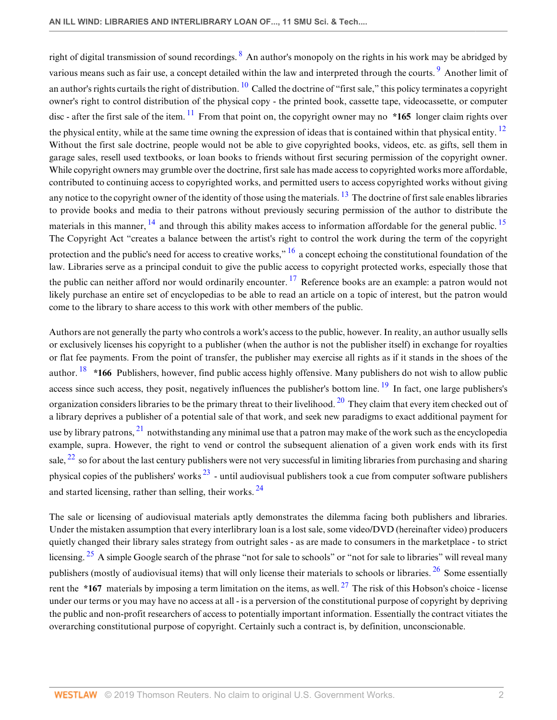<span id="page-1-5"></span><span id="page-1-4"></span><span id="page-1-3"></span><span id="page-1-2"></span><span id="page-1-1"></span><span id="page-1-0"></span>right of digital transmission of sound recordings.  $8$  An author's monopoly on the rights in his work may be abridged by various means such as fair use, a concept detailed within the law and interpreted through the courts. <sup>[9](#page-17-5)</sup> Another limit of an author's rights curtails the right of distribution.  $^{10}$  $^{10}$  $^{10}$  Called the doctrine of "first sale," this policy terminates a copyright owner's right to control distribution of the physical copy - the printed book, cassette tape, videocassette, or computer disc - after the first sale of the item.  $\frac{11}{1}$  $\frac{11}{1}$  $\frac{11}{1}$  From that point on, the copyright owner may no  $*165$  longer claim rights over the physical entity, while at the same time owning the expression of ideas that is contained within that physical entity.  $12$ Without the first sale doctrine, people would not be able to give copyrighted books, videos, etc. as gifts, sell them in garage sales, resell used textbooks, or loan books to friends without first securing permission of the copyright owner. While copyright owners may grumble over the doctrine, first sale has made access to copyrighted works more affordable, contributed to continuing access to copyrighted works, and permitted users to access copyrighted works without giving any notice to the copyright owner of the identity of those using the materials.  $13$  The doctrine of first sale enables libraries to provide books and media to their patrons without previously securing permission of the author to distribute the materials in this manner,  $^{14}$  $^{14}$  $^{14}$  and through this ability makes access to information affordable for the general public.  $^{15}$  $^{15}$  $^{15}$ The Copyright Act "creates a balance between the artist's right to control the work during the term of the copyright protection and the public's need for access to creative works,"  $^{16}$  $^{16}$  $^{16}$  a concept echoing the constitutional foundation of the law. Libraries serve as a principal conduit to give the public access to copyright protected works, especially those that the public can neither afford nor would ordinarily encounter.  $^{17}$  $^{17}$  $^{17}$  Reference books are an example: a patron would not likely purchase an entire set of encyclopedias to be able to read an article on a topic of interest, but the patron would come to the library to share access to this work with other members of the public.

<span id="page-1-12"></span><span id="page-1-11"></span><span id="page-1-10"></span><span id="page-1-9"></span><span id="page-1-8"></span><span id="page-1-7"></span><span id="page-1-6"></span>Authors are not generally the party who controls a work's access to the public, however. In reality, an author usually sells or exclusively licenses his copyright to a publisher (when the author is not the publisher itself) in exchange for royalties or flat fee payments. From the point of transfer, the publisher may exercise all rights as if it stands in the shoes of the author.<sup>[18](#page-17-14)</sup> \*166 Publishers, however, find public access highly offensive. Many publishers do not wish to allow public access since such access, they posit, negatively influences the publisher's bottom line. <sup>[19](#page-17-15)</sup> In fact, one large publishers's organization considers libraries to be the primary threat to their livelihood.  $^{20}$  $^{20}$  $^{20}$  They claim that every item checked out of a library deprives a publisher of a potential sale of that work, and seek new paradigms to exact additional payment for use by library patrons,  $^{21}$  $^{21}$  $^{21}$  notwithstanding any minimal use that a patron may make of the work such as the encyclopedia example, supra. However, the right to vend or control the subsequent alienation of a given work ends with its first sale,  $^{22}$  $^{22}$  $^{22}$  so for about the last century publishers were not very successful in limiting libraries from purchasing and sharing physical copies of the publishers' works  $^{23}$  $^{23}$  $^{23}$  - until audiovisual publishers took a cue from computer software publishers and started licensing, rather than selling, their works. <sup>[24](#page-18-0)</sup>

<span id="page-1-19"></span><span id="page-1-18"></span><span id="page-1-17"></span><span id="page-1-16"></span><span id="page-1-15"></span><span id="page-1-14"></span><span id="page-1-13"></span>The sale or licensing of audiovisual materials aptly demonstrates the dilemma facing both publishers and libraries. Under the mistaken assumption that every interlibrary loan is a lost sale, some video/DVD (hereinafter video) producers quietly changed their library sales strategy from outright sales - as are made to consumers in the marketplace - to strict licensing. <sup>[25](#page-18-1)</sup> A simple Google search of the phrase "not for sale to schools" or "not for sale to libraries" will reveal many publishers (mostly of audiovisual items) that will only license their materials to schools or libraries.  $^{26}$  $^{26}$  $^{26}$  Some essentially rent the  $*167$  materials by imposing a term limitation on the items, as well. <sup>[27](#page-18-3)</sup> The risk of this Hobson's choice - license under our terms or you may have no access at all - is a perversion of the constitutional purpose of copyright by depriving the public and non-profit researchers of access to potentially important information. Essentially the contract vitiates the overarching constitutional purpose of copyright. Certainly such a contract is, by definition, unconscionable.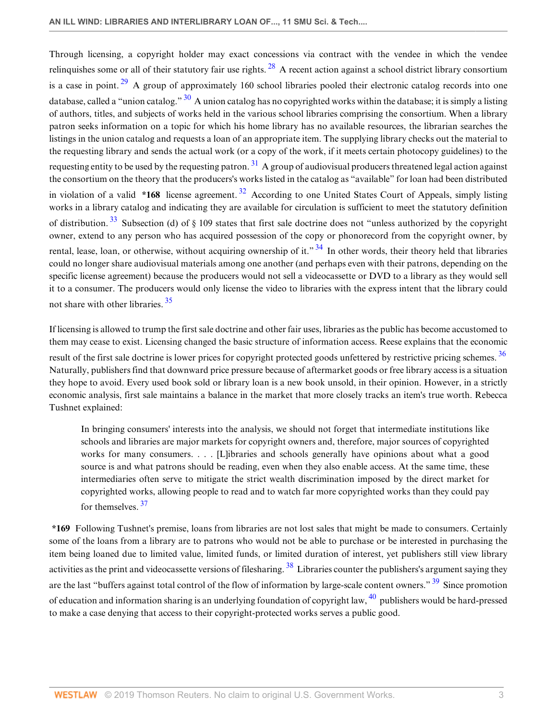<span id="page-2-4"></span><span id="page-2-3"></span><span id="page-2-2"></span><span id="page-2-1"></span><span id="page-2-0"></span>Through licensing, a copyright holder may exact concessions via contract with the vendee in which the vendee relinquishes some or all of their statutory fair use rights.  $^{28}$  $^{28}$  $^{28}$  A recent action against a school district library consortium is a case in point.  $29$  A group of approximately 160 school libraries pooled their electronic catalog records into one database, called a "union catalog."  $30$  A union catalog has no copyrighted works within the database; it is simply a listing of authors, titles, and subjects of works held in the various school libraries comprising the consortium. When a library patron seeks information on a topic for which his home library has no available resources, the librarian searches the listings in the union catalog and requests a loan of an appropriate item. The supplying library checks out the material to the requesting library and sends the actual work (or a copy of the work, if it meets certain photocopy guidelines) to the requesting entity to be used by the requesting patron.  $31$  A group of audiovisual producers threatened legal action against the consortium on the theory that the producers's works listed in the catalog as "available" for loan had been distributed in violation of a valid **\*168** license agreement. [32](#page-18-8) According to one United States Court of Appeals, simply listing works in a library catalog and indicating they are available for circulation is sufficient to meet the statutory definition of distribution.<sup>[33](#page-18-9)</sup> Subsection (d) of  $\S$  109 states that first sale doctrine does not "unless authorized by the copyright owner, extend to any person who has acquired possession of the copy or phonorecord from the copyright owner, by rental, lease, loan, or otherwise, without acquiring ownership of it."  $34$  In other words, their theory held that libraries could no longer share audiovisual materials among one another (and perhaps even with their patrons, depending on the specific license agreement) because the producers would not sell a videocassette or DVD to a library as they would sell it to a consumer. The producers would only license the video to libraries with the express intent that the library could not share with other libraries.<sup>[35](#page-18-11)</sup>

<span id="page-2-7"></span><span id="page-2-6"></span><span id="page-2-5"></span>If licensing is allowed to trump the first sale doctrine and other fair uses, libraries as the public has become accustomed to them may cease to exist. Licensing changed the basic structure of information access. Reese explains that the economic result of the first sale doctrine is lower prices for copyright protected goods unfettered by restrictive pricing schemes. [36](#page-18-12) Naturally, publishers find that downward price pressure because of aftermarket goods or free library access is a situation they hope to avoid. Every used book sold or library loan is a new book unsold, in their opinion. However, in a strictly economic analysis, first sale maintains a balance in the market that more closely tracks an item's true worth. Rebecca Tushnet explained:

<span id="page-2-11"></span><span id="page-2-9"></span><span id="page-2-8"></span>In bringing consumers' interests into the analysis, we should not forget that intermediate institutions like schools and libraries are major markets for copyright owners and, therefore, major sources of copyrighted works for many consumers. . . . [L]ibraries and schools generally have opinions about what a good source is and what patrons should be reading, even when they also enable access. At the same time, these intermediaries often serve to mitigate the strict wealth discrimination imposed by the direct market for copyrighted works, allowing people to read and to watch far more copyrighted works than they could pay for themselves. [37](#page-18-13)

<span id="page-2-12"></span><span id="page-2-10"></span>**\*169** Following Tushnet's premise, loans from libraries are not lost sales that might be made to consumers. Certainly some of the loans from a library are to patrons who would not be able to purchase or be interested in purchasing the item being loaned due to limited value, limited funds, or limited duration of interest, yet publishers still view library activities as the print and videocassette versions of filesharing.<sup>[38](#page-18-14)</sup> Libraries counter the publishers's argument saying they are the last "buffers against total control of the flow of information by large-scale content owners." <sup>[39](#page-18-15)</sup> Since promotion of education and information sharing is an underlying foundation of copyright law,  $^{40}$  $^{40}$  $^{40}$  publishers would be hard-pressed to make a case denying that access to their copyright-protected works serves a public good.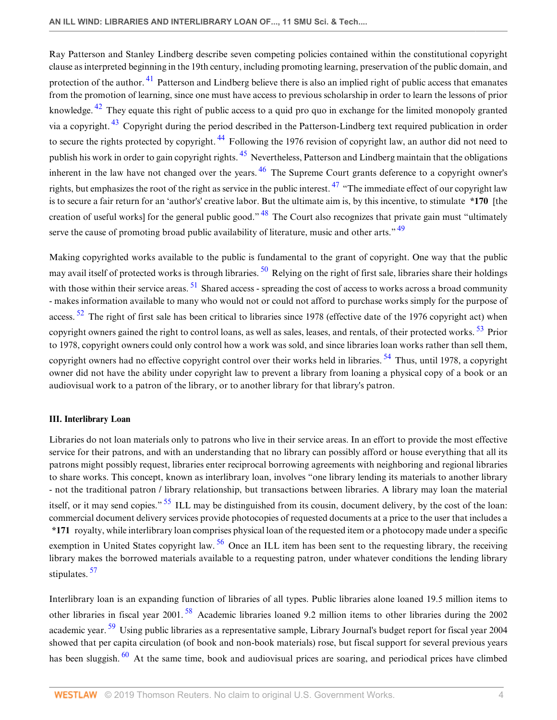<span id="page-3-4"></span><span id="page-3-3"></span><span id="page-3-2"></span><span id="page-3-1"></span><span id="page-3-0"></span>Ray Patterson and Stanley Lindberg describe seven competing policies contained within the constitutional copyright clause as interpreted beginning in the 19th century, including promoting learning, preservation of the public domain, and protection of the author. <sup>[41](#page-18-17)</sup> Patterson and Lindberg believe there is also an implied right of public access that emanates from the promotion of learning, since one must have access to previous scholarship in order to learn the lessons of prior knowledge. <sup>[42](#page-18-18)</sup> They equate this right of public access to a quid pro quo in exchange for the limited monopoly granted via a copyright. [43](#page-18-19) Copyright during the period described in the Patterson-Lindberg text required publication in order to secure the rights protected by copyright. <sup>[44](#page-19-0)</sup> Following the 1976 revision of copyright law, an author did not need to publish his work in order to gain copyright rights. [45](#page-19-1) Nevertheless, Patterson and Lindberg maintain that the obligations inherent in the law have not changed over the years.  $46$  The Supreme Court grants deference to a copyright owner's rights, but emphasizes the root of the right as service in the public interest.  $47$  "The immediate effect of our copyright law is to secure a fair return for an 'author's' creative labor. But the ultimate aim is, by this incentive, to stimulate **\*170** [the creation of useful works] for the general public good."  $48$  The Court also recognizes that private gain must "ultimately serve the cause of promoting broad public availability of literature, music and other arts."  $49$ 

<span id="page-3-12"></span><span id="page-3-11"></span><span id="page-3-10"></span><span id="page-3-9"></span><span id="page-3-8"></span><span id="page-3-7"></span><span id="page-3-6"></span><span id="page-3-5"></span>Making copyrighted works available to the public is fundamental to the grant of copyright. One way that the public may avail itself of protected works is through libraries.  $\frac{50}{2}$  $\frac{50}{2}$  $\frac{50}{2}$  Relying on the right of first sale, libraries share their holdings with those within their service areas. <sup>[51](#page-19-7)</sup> Shared access - spreading the cost of access to works across a broad community - makes information available to many who would not or could not afford to purchase works simply for the purpose of access.  $52$  The right of first sale has been critical to libraries since 1978 (effective date of the 1976 copyright act) when copyright owners gained the right to control loans, as well as sales, leases, and rentals, of their protected works. <sup>[53](#page-19-9)</sup> Prior to 1978, copyright owners could only control how a work was sold, and since libraries loan works rather than sell them, copyright owners had no effective copyright control over their works held in libraries.  $54$  Thus, until 1978, a copyright owner did not have the ability under copyright law to prevent a library from loaning a physical copy of a book or an audiovisual work to a patron of the library, or to another library for that library's patron.

# <span id="page-3-13"></span>**III. Interlibrary Loan**

<span id="page-3-14"></span>Libraries do not loan materials only to patrons who live in their service areas. In an effort to provide the most effective service for their patrons, and with an understanding that no library can possibly afford or house everything that all its patrons might possibly request, libraries enter reciprocal borrowing agreements with neighboring and regional libraries to share works. This concept, known as interlibrary loan, involves "one library lending its materials to another library - not the traditional patron / library relationship, but transactions between libraries. A library may loan the material itself, or it may send copies." <sup>[55](#page-19-11)</sup> ILL may be distinguished from its cousin, document delivery, by the cost of the loan: commercial document delivery services provide photocopies of requested documents at a price to the user that includes a **\*171** royalty, while interlibrary loan comprises physical loan of the requested item or a photocopy made under a specific exemption in United States copyright law.  $56$  Once an ILL item has been sent to the requesting library, the receiving library makes the borrowed materials available to a requesting patron, under whatever conditions the lending library stipulates.<sup>[57](#page-19-13)</sup>

<span id="page-3-19"></span><span id="page-3-18"></span><span id="page-3-17"></span><span id="page-3-16"></span><span id="page-3-15"></span>Interlibrary loan is an expanding function of libraries of all types. Public libraries alone loaned 19.5 million items to other libraries in fiscal year 2001. [58](#page-19-14) Academic libraries loaned 9.2 million items to other libraries during the 2002 academic year. <sup>[59](#page-19-15)</sup> Using public libraries as a representative sample, Library Journal's budget report for fiscal year 2004 showed that per capita circulation (of book and non-book materials) rose, but fiscal support for several previous years has been sluggish.  $60$  At the same time, book and audiovisual prices are soaring, and periodical prices have climbed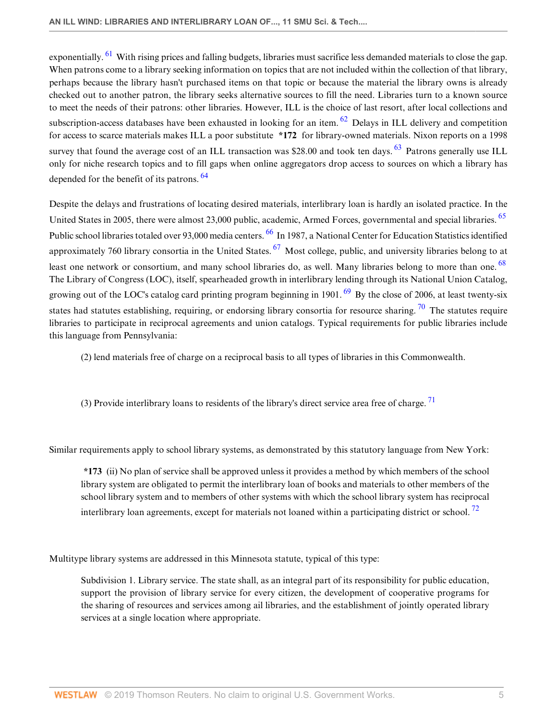<span id="page-4-1"></span><span id="page-4-0"></span>exponentially. <sup>[61](#page-19-17)</sup> With rising prices and falling budgets, libraries must sacrifice less demanded materials to close the gap. When patrons come to a library seeking information on topics that are not included within the collection of that library, perhaps because the library hasn't purchased items on that topic or because the material the library owns is already checked out to another patron, the library seeks alternative sources to fill the need. Libraries turn to a known source to meet the needs of their patrons: other libraries. However, ILL is the choice of last resort, after local collections and subscription-access databases have been exhausted in looking for an item.  $62$  Delays in ILL delivery and competition for access to scarce materials makes ILL a poor substitute **\*172** for library-owned materials. Nixon reports on a 1998 survey that found the average cost of an ILL transaction was \$28.00 and took ten days.  $63$  Patrons generally use ILL only for niche research topics and to fill gaps when online aggregators drop access to sources on which a library has depended for the benefit of its patrons. <sup>[64](#page-19-20)</sup>

<span id="page-4-5"></span><span id="page-4-3"></span><span id="page-4-2"></span>Despite the delays and frustrations of locating desired materials, interlibrary loan is hardly an isolated practice. In the United States in 2005, there were almost 23,000 public, academic, Armed Forces, governmental and special libraries. <sup>[65](#page-19-21)</sup> Public school libraries totaled over 93,000 media centers. <sup>[66](#page-19-22)</sup> In 1987, a National Center for Education Statistics identified approximately 760 library consortia in the United States.  $^{67}$  $^{67}$  $^{67}$  Most college, public, and university libraries belong to at least one network or consortium, and many school libraries do, as well. Many libraries belong to more than one. <sup>[68](#page-20-1)</sup> The Library of Congress (LOC), itself, spearheaded growth in interlibrary lending through its National Union Catalog, growing out of the LOC's catalog card printing program beginning in 1901.  $^{69}$  $^{69}$  $^{69}$  By the close of 2006, at least twenty-six states had statutes establishing, requiring, or endorsing library consortia for resource sharing.  $\frac{70}{10}$  $\frac{70}{10}$  $\frac{70}{10}$  The statutes require libraries to participate in reciprocal agreements and union catalogs. Typical requirements for public libraries include this language from Pennsylvania:

<span id="page-4-9"></span><span id="page-4-8"></span><span id="page-4-7"></span><span id="page-4-6"></span><span id="page-4-4"></span>(2) lend materials free of charge on a reciprocal basis to all types of libraries in this Commonwealth.

<span id="page-4-10"></span>(3) Provide interlibrary loans to residents of the library's direct service area free of charge.  $71$ 

Similar requirements apply to school library systems, as demonstrated by this statutory language from New York:

<span id="page-4-11"></span>**\*173** (ii) No plan of service shall be approved unless it provides a method by which members of the school library system are obligated to permit the interlibrary loan of books and materials to other members of the school library system and to members of other systems with which the school library system has reciprocal interlibrary loan agreements, except for materials not loaned within a participating district or school.<sup>[72](#page-20-5)</sup>

Multitype library systems are addressed in this Minnesota statute, typical of this type:

Subdivision 1. Library service. The state shall, as an integral part of its responsibility for public education, support the provision of library service for every citizen, the development of cooperative programs for the sharing of resources and services among ail libraries, and the establishment of jointly operated library services at a single location where appropriate.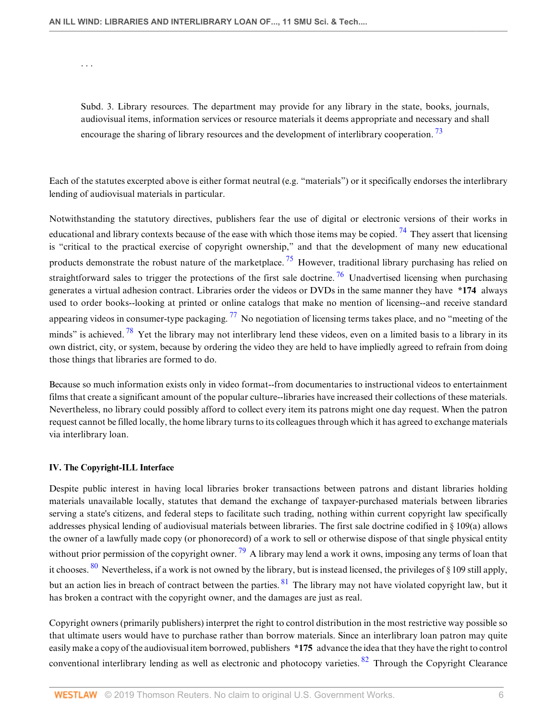. . .

<span id="page-5-1"></span><span id="page-5-0"></span>Subd. 3. Library resources. The department may provide for any library in the state, books, journals, audiovisual items, information services or resource materials it deems appropriate and necessary and shall encourage the sharing of library resources and the development of interlibrary cooperation.  $^{73}$  $^{73}$  $^{73}$ 

Each of the statutes excerpted above is either format neutral (e.g. "materials") or it specifically endorses the interlibrary lending of audiovisual materials in particular.

<span id="page-5-3"></span><span id="page-5-2"></span>Notwithstanding the statutory directives, publishers fear the use of digital or electronic versions of their works in educational and library contexts because of the ease with which those items may be copied. <sup>[74](#page-20-7)</sup> They assert that licensing is "critical to the practical exercise of copyright ownership," and that the development of many new educational products demonstrate the robust nature of the marketplace.<sup>[75](#page-20-8)</sup> However, traditional library purchasing has relied on straightforward sales to trigger the protections of the first sale doctrine.<sup>[76](#page-20-9)</sup> Unadvertised licensing when purchasing generates a virtual adhesion contract. Libraries order the videos or DVDs in the same manner they have **\*174** always used to order books--looking at printed or online catalogs that make no mention of licensing--and receive standard appearing videos in consumer-type packaging.  $^{77}$  $^{77}$  $^{77}$  No negotiation of licensing terms takes place, and no "meeting of the minds" is achieved.  $\frac{78}{15}$  $\frac{78}{15}$  $\frac{78}{15}$  Yet the library may not interlibrary lend these videos, even on a limited basis to a library in its own district, city, or system, because by ordering the video they are held to have impliedly agreed to refrain from doing those things that libraries are formed to do.

<span id="page-5-5"></span><span id="page-5-4"></span>Because so much information exists only in video format--from documentaries to instructional videos to entertainment films that create a significant amount of the popular culture--libraries have increased their collections of these materials. Nevertheless, no library could possibly afford to collect every item its patrons might one day request. When the patron request cannot be filled locally, the home library turns to its colleagues through which it has agreed to exchange materials via interlibrary loan.

#### **IV. The Copyright-ILL Interface**

<span id="page-5-6"></span>Despite public interest in having local libraries broker transactions between patrons and distant libraries holding materials unavailable locally, statutes that demand the exchange of taxpayer-purchased materials between libraries serving a state's citizens, and federal steps to facilitate such trading, nothing within current copyright law specifically addresses physical lending of audiovisual materials between libraries. The first sale doctrine codified in § 109(a) allows the owner of a lawfully made copy (or phonorecord) of a work to sell or otherwise dispose of that single physical entity without prior permission of the copyright owner.  $^{79}$  $^{79}$  $^{79}$  A library may lend a work it owns, imposing any terms of loan that it chooses. <sup>[80](#page-20-13)</sup> Nevertheless, if a work is not owned by the library, but is instead licensed, the privileges of § 109 still apply, but an action lies in breach of contract between the parties. <sup>[81](#page-20-14)</sup> The library may not have violated copyright law, but it has broken a contract with the copyright owner, and the damages are just as real.

<span id="page-5-9"></span><span id="page-5-8"></span><span id="page-5-7"></span>Copyright owners (primarily publishers) interpret the right to control distribution in the most restrictive way possible so that ultimate users would have to purchase rather than borrow materials. Since an interlibrary loan patron may quite easily make a copy of the audiovisual item borrowed, publishers **\*175** advance the idea that they have the right to control conventional interlibrary lending as well as electronic and photocopy varieties. <sup>[82](#page-20-15)</sup> Through the Copyright Clearance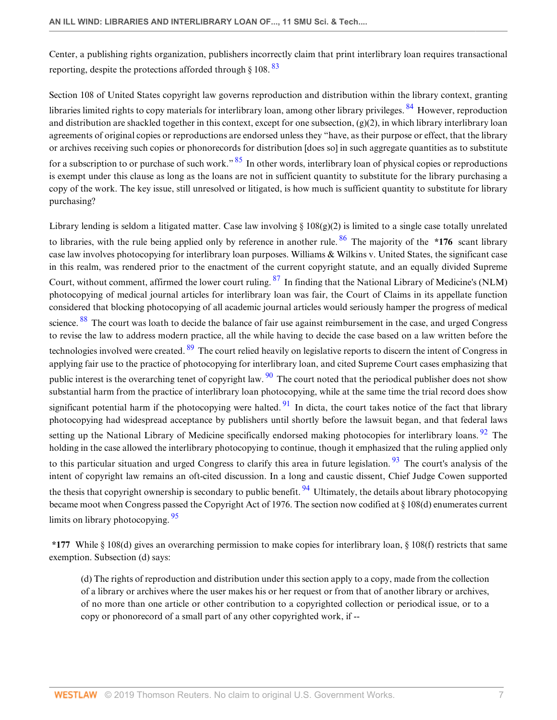<span id="page-6-0"></span>Center, a publishing rights organization, publishers incorrectly claim that print interlibrary loan requires transactional reporting, despite the protections afforded through  $\S 108$ .  $83$ 

<span id="page-6-2"></span><span id="page-6-1"></span>Section 108 of United States copyright law governs reproduction and distribution within the library context, granting libraries limited rights to copy materials for interlibrary loan, among other library privileges. <sup>[84](#page-20-17)</sup> However, reproduction and distribution are shackled together in this context, except for one subsection,  $(g)(2)$ , in which library interlibrary loan agreements of original copies or reproductions are endorsed unless they "have, as their purpose or effect, that the library or archives receiving such copies or phonorecords for distribution [does so] in such aggregate quantities as to substitute for a subscription to or purchase of such work."<sup>[85](#page-20-18)</sup> In other words, interlibrary loan of physical copies or reproductions is exempt under this clause as long as the loans are not in sufficient quantity to substitute for the library purchasing a copy of the work. The key issue, still unresolved or litigated, is how much is sufficient quantity to substitute for library purchasing?

<span id="page-6-7"></span><span id="page-6-6"></span><span id="page-6-5"></span><span id="page-6-4"></span><span id="page-6-3"></span>Library lending is seldom a litigated matter. Case law involving  $\S 108(g)(2)$  is limited to a single case totally unrelated to libraries, with the rule being applied only by reference in another rule. [86](#page-21-0) The majority of the **\*176** scant library case law involves photocopying for interlibrary loan purposes. Williams & Wilkins v. United States, the significant case in this realm, was rendered prior to the enactment of the current copyright statute, and an equally divided Supreme Court, without comment, affirmed the lower court ruling. [87](#page-21-1) In finding that the National Library of Medicine's (NLM) photocopying of medical journal articles for interlibrary loan was fair, the Court of Claims in its appellate function considered that blocking photocopying of all academic journal articles would seriously hamper the progress of medical science. <sup>[88](#page-21-2)</sup> The court was loath to decide the balance of fair use against reimbursement in the case, and urged Congress to revise the law to address modern practice, all the while having to decide the case based on a law written before the technologies involved were created. <sup>[89](#page-21-3)</sup> The court relied heavily on legislative reports to discern the intent of Congress in applying fair use to the practice of photocopying for interlibrary loan, and cited Supreme Court cases emphasizing that public interest is the overarching tenet of copyright law.  $\frac{90}{90}$  $\frac{90}{90}$  $\frac{90}{90}$  The court noted that the periodical publisher does not show substantial harm from the practice of interlibrary loan photocopying, while at the same time the trial record does show significant potential harm if the photocopying were halted.  $91$  In dicta, the court takes notice of the fact that library photocopying had widespread acceptance by publishers until shortly before the lawsuit began, and that federal laws setting up the National Library of Medicine specifically endorsed making photocopies for interlibrary loans. <sup>[92](#page-21-6)</sup> The holding in the case allowed the interlibrary photocopying to continue, though it emphasized that the ruling applied only to this particular situation and urged Congress to clarify this area in future legislation.  $93$  The court's analysis of the intent of copyright law remains an oft-cited discussion. In a long and caustic dissent, Chief Judge Cowen supported the thesis that copyright ownership is secondary to public benefit.  $94$  Ultimately, the details about library photocopying became moot when Congress passed the Copyright Act of 1976. The section now codified at § 108(d) enumerates current limits on library photocopying. <sup>[95](#page-21-9)</sup>

**\*177** While § 108(d) gives an overarching permission to make copies for interlibrary loan, § 108(f) restricts that same exemption. Subsection (d) says:

<span id="page-6-12"></span><span id="page-6-11"></span><span id="page-6-10"></span><span id="page-6-9"></span><span id="page-6-8"></span>(d) The rights of reproduction and distribution under this section apply to a copy, made from the collection of a library or archives where the user makes his or her request or from that of another library or archives, of no more than one article or other contribution to a copyrighted collection or periodical issue, or to a copy or phonorecord of a small part of any other copyrighted work, if --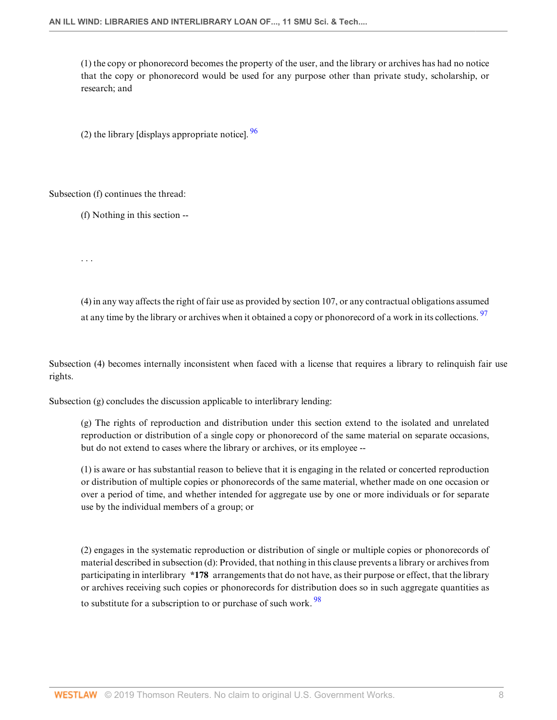(1) the copy or phonorecord becomes the property of the user, and the library or archives has had no notice that the copy or phonorecord would be used for any purpose other than private study, scholarship, or research; and

<span id="page-7-0"></span>(2) the library [displays appropriate notice].  $\frac{96}{96}$  $\frac{96}{96}$  $\frac{96}{96}$ 

Subsection (f) continues the thread:

. . .

(f) Nothing in this section --

<span id="page-7-1"></span>(4) in any way affects the right of fair use as provided by section 107, or any contractual obligations assumed at any time by the library or archives when it obtained a copy or phonorecord of a work in its collections. <sup>[97](#page-21-11)</sup>

Subsection (4) becomes internally inconsistent when faced with a license that requires a library to relinquish fair use rights.

Subsection (g) concludes the discussion applicable to interlibrary lending:

(g) The rights of reproduction and distribution under this section extend to the isolated and unrelated reproduction or distribution of a single copy or phonorecord of the same material on separate occasions, but do not extend to cases where the library or archives, or its employee --

(1) is aware or has substantial reason to believe that it is engaging in the related or concerted reproduction or distribution of multiple copies or phonorecords of the same material, whether made on one occasion or over a period of time, and whether intended for aggregate use by one or more individuals or for separate use by the individual members of a group; or

<span id="page-7-2"></span>(2) engages in the systematic reproduction or distribution of single or multiple copies or phonorecords of material described in subsection (d): Provided, that nothing in this clause prevents a library or archives from participating in interlibrary **\*178** arrangements that do not have, as their purpose or effect, that the library or archives receiving such copies or phonorecords for distribution does so in such aggregate quantities as to substitute for a subscription to or purchase of such work.<sup>[98](#page-21-12)</sup>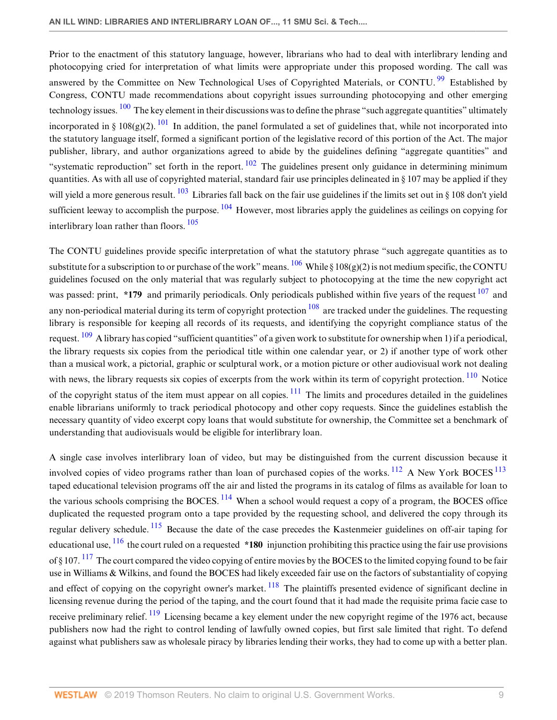<span id="page-8-2"></span><span id="page-8-1"></span><span id="page-8-0"></span>Prior to the enactment of this statutory language, however, librarians who had to deal with interlibrary lending and photocopying cried for interpretation of what limits were appropriate under this proposed wording. The call was answered by the Committee on New Technological Uses of Copyrighted Materials, or CONTU.<sup>[99](#page-21-13)</sup> Established by Congress, CONTU made recommendations about copyright issues surrounding photocopying and other emerging technology issues. <sup>[100](#page-21-14)</sup> The key element in their discussions was to define the phrase "such aggregate quantities" ultimately incorporated in § 108(g)(2).  $^{101}$  $^{101}$  $^{101}$  In addition, the panel formulated a set of guidelines that, while not incorporated into the statutory language itself, formed a significant portion of the legislative record of this portion of the Act. The major publisher, library, and author organizations agreed to abide by the guidelines defining "aggregate quantities" and "systematic reproduction" set forth in the report.  $102$  The guidelines present only guidance in determining minimum quantities. As with all use of copyrighted material, standard fair use principles delineated in  $\S 107$  may be applied if they will yield a more generous result.  $^{103}$  $^{103}$  $^{103}$  Libraries fall back on the fair use guidelines if the limits set out in § 108 don't yield sufficient leeway to accomplish the purpose.  $104$  However, most libraries apply the guidelines as ceilings on copying for interlibrary loan rather than floors. [105](#page-21-19)

<span id="page-8-10"></span><span id="page-8-9"></span><span id="page-8-8"></span><span id="page-8-7"></span><span id="page-8-6"></span><span id="page-8-5"></span><span id="page-8-4"></span><span id="page-8-3"></span>The CONTU guidelines provide specific interpretation of what the statutory phrase "such aggregate quantities as to substitute for a subscription to or purchase of the work" means.  $\frac{106}{108}$  $\frac{106}{108}$  $\frac{106}{108}$  While § 108(g)(2) is not medium specific, the CONTU guidelines focused on the only material that was regularly subject to photocopying at the time the new copyright act was passed: print, \*179 and primarily periodicals. Only periodicals published within five years of the request  $107$  and any non-periodical material during its term of copyright protection  $108$  are tracked under the guidelines. The requesting library is responsible for keeping all records of its requests, and identifying the copyright compliance status of the request. <sup>[109](#page-21-23)</sup> A library has copied "sufficient quantities" of a given work to substitute for ownership when 1) if a periodical, the library requests six copies from the periodical title within one calendar year, or 2) if another type of work other than a musical work, a pictorial, graphic or sculptural work, or a motion picture or other audiovisual work not dealing with news, the library requests six copies of excerpts from the work within its term of copyright protection. <sup>[110](#page-21-24)</sup> Notice of the copyright status of the item must appear on all copies.  $\frac{111}{11}$  $\frac{111}{11}$  $\frac{111}{11}$  The limits and procedures detailed in the guidelines enable librarians uniformly to track periodical photocopy and other copy requests. Since the guidelines establish the necessary quantity of video excerpt copy loans that would substitute for ownership, the Committee set a benchmark of understanding that audiovisuals would be eligible for interlibrary loan.

<span id="page-8-20"></span><span id="page-8-19"></span><span id="page-8-18"></span><span id="page-8-17"></span><span id="page-8-16"></span><span id="page-8-15"></span><span id="page-8-14"></span><span id="page-8-13"></span><span id="page-8-12"></span><span id="page-8-11"></span>A single case involves interlibrary loan of video, but may be distinguished from the current discussion because it involved copies of video programs rather than loan of purchased copies of the works.  $^{112}$  $^{112}$  $^{112}$  A New York BOCES  $^{113}$  $^{113}$  $^{113}$ taped educational television programs off the air and listed the programs in its catalog of films as available for loan to the various schools comprising the BOCES. <sup>[114](#page-22-1)</sup> When a school would request a copy of a program, the BOCES office duplicated the requested program onto a tape provided by the requesting school, and delivered the copy through its regular delivery schedule. <sup>[115](#page-22-2)</sup> Because the date of the case precedes the Kastenmeier guidelines on off-air taping for educational use,  $\frac{116}{16}$  $\frac{116}{16}$  $\frac{116}{16}$  the court ruled on a requested  $*180$  injunction prohibiting this practice using the fair use provisions of § 107.  $^{117}$  $^{117}$  $^{117}$  The court compared the video copying of entire movies by the BOCES to the limited copying found to be fair use in Williams & Wilkins, and found the BOCES had likely exceeded fair use on the factors of substantiality of copying and effect of copying on the copyright owner's market. <sup>[118](#page-22-5)</sup> The plaintiffs presented evidence of significant decline in licensing revenue during the period of the taping, and the court found that it had made the requisite prima facie case to receive preliminary relief. <sup>[119](#page-22-6)</sup> Licensing became a key element under the new copyright regime of the 1976 act, because publishers now had the right to control lending of lawfully owned copies, but first sale limited that right. To defend against what publishers saw as wholesale piracy by libraries lending their works, they had to come up with a better plan.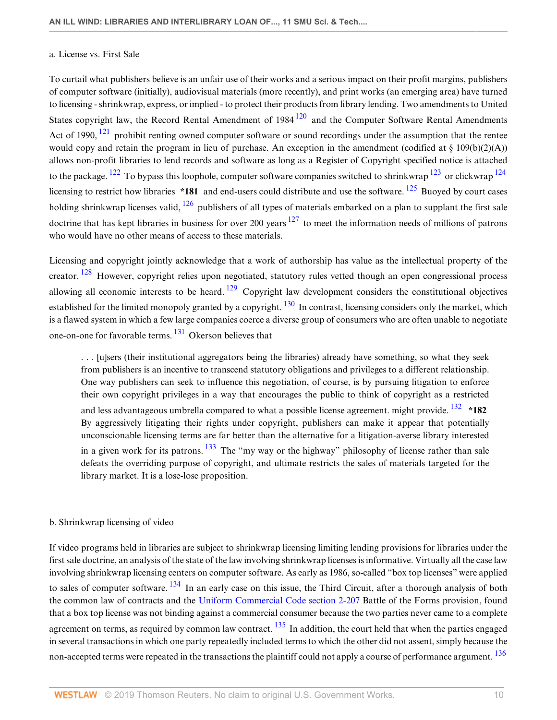### a. License vs. First Sale

<span id="page-9-4"></span><span id="page-9-3"></span><span id="page-9-1"></span><span id="page-9-0"></span>To curtail what publishers believe is an unfair use of their works and a serious impact on their profit margins, publishers of computer software (initially), audiovisual materials (more recently), and print works (an emerging area) have turned to licensing - shrinkwrap, express, or implied - to protect their products from library lending. Two amendments to United States copyright law, the Record Rental Amendment of  $1984 \frac{120}{2}$  $1984 \frac{120}{2}$  $1984 \frac{120}{2}$  and the Computer Software Rental Amendments Act of 1990, <sup>[121](#page-22-8)</sup> prohibit renting owned computer software or sound recordings under the assumption that the rentee would copy and retain the program in lieu of purchase. An exception in the amendment (codified at  $\S 109(b)(2)(A)$ ) allows non-profit libraries to lend records and software as long as a Register of Copyright specified notice is attached to the package. <sup>[122](#page-22-9)</sup> To bypass this loophole, computer software companies switched to shrinkwrap <sup>[123](#page-22-10)</sup> or clickwrap <sup>[124](#page-22-11)</sup> licensing to restrict how libraries **\*181** and end-users could distribute and use the software. [125](#page-22-12) Buoyed by court cases holding shrinkwrap licenses valid,  $126$  publishers of all types of materials embarked on a plan to supplant the first sale doctrine that has kept libraries in business for over 200 years  $127$  to meet the information needs of millions of patrons who would have no other means of access to these materials.

<span id="page-9-8"></span><span id="page-9-7"></span><span id="page-9-6"></span><span id="page-9-5"></span><span id="page-9-2"></span>Licensing and copyright jointly acknowledge that a work of authorship has value as the intellectual property of the creator. <sup>[128](#page-22-15)</sup> However, copyright relies upon negotiated, statutory rules vetted though an open congressional process allowing all economic interests to be heard.  $129$  Copyright law development considers the constitutional objectives established for the limited monopoly granted by a copyright.  $130$  In contrast, licensing considers only the market, which is a flawed system in which a few large companies coerce a diverse group of consumers who are often unable to negotiate one-on-one for favorable terms. [131](#page-22-18) Okerson believes that

<span id="page-9-13"></span><span id="page-9-12"></span><span id="page-9-11"></span><span id="page-9-10"></span><span id="page-9-9"></span>. . . [u]sers (their institutional aggregators being the libraries) already have something, so what they seek from publishers is an incentive to transcend statutory obligations and privileges to a different relationship. One way publishers can seek to influence this negotiation, of course, is by pursuing litigation to enforce their own copyright privileges in a way that encourages the public to think of copyright as a restricted and less advantageous umbrella compared to what a possible license agreement. might provide. [132](#page-22-19) **\*182** By aggressively litigating their rights under copyright, publishers can make it appear that potentially unconscionable licensing terms are far better than the alternative for a litigation-averse library interested in a given work for its patrons.  $\frac{133}{13}$  $\frac{133}{13}$  $\frac{133}{13}$  The "my way or the highway" philosophy of license rather than sale defeats the overriding purpose of copyright, and ultimate restricts the sales of materials targeted for the library market. It is a lose-lose proposition.

# b. Shrinkwrap licensing of video

<span id="page-9-16"></span><span id="page-9-15"></span><span id="page-9-14"></span>If video programs held in libraries are subject to shrinkwrap licensing limiting lending provisions for libraries under the first sale doctrine, an analysis of the state of the law involving shrinkwrap licenses is informative. Virtually all the case law involving shrinkwrap licensing centers on computer software. As early as 1986, so-called "box top licenses" were applied to sales of computer software. <sup>[134](#page-23-0)</sup> In an early case on this issue, the Third Circuit, after a thorough analysis of both the common law of contracts and the [Uniform Commercial Code section 2-207](http://www.westlaw.com/Link/Document/FullText?findType=L&pubNum=1002112&cite=ULUCCS2-207&originatingDoc=I240e9bb7137211deb055de4196f001f3&refType=LQ&originationContext=document&vr=3.0&rs=cblt1.0&transitionType=DocumentItem&contextData=(sc.Default)) Battle of the Forms provision, found that a box top license was not binding against a commercial consumer because the two parties never came to a complete agreement on terms, as required by common law contract.  $135$  In addition, the court held that when the parties engaged in several transactions in which one party repeatedly included terms to which the other did not assent, simply because the non-accepted terms were repeated in the transactions the plaintiff could not apply a course of performance argument. <sup>[136](#page-23-2)</sup>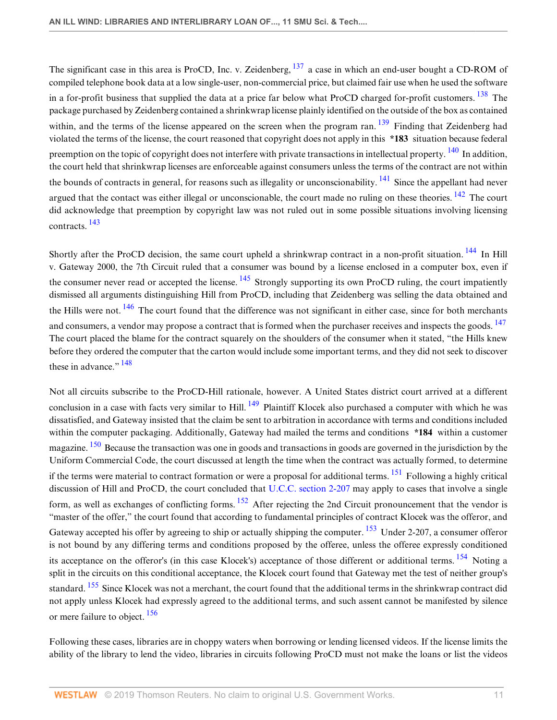<span id="page-10-3"></span><span id="page-10-2"></span><span id="page-10-1"></span><span id="page-10-0"></span>The significant case in this area is ProCD, Inc. v. Zeidenberg, <sup>[137](#page-23-3)</sup> a case in which an end-user bought a CD-ROM of compiled telephone book data at a low single-user, non-commercial price, but claimed fair use when he used the software in a for-profit business that supplied the data at a price far below what ProCD charged for-profit customers. <sup>[138](#page-23-4)</sup> The package purchased by Zeidenberg contained a shrinkwrap license plainly identified on the outside of the box as contained within, and the terms of the license appeared on the screen when the program ran. <sup>[139](#page-23-5)</sup> Finding that Zeidenberg had violated the terms of the license, the court reasoned that copyright does not apply in this **\*183** situation because federal preemption on the topic of copyright does not interfere with private transactions in intellectual property. <sup>[140](#page-23-6)</sup> In addition, the court held that shrinkwrap licenses are enforceable against consumers unless the terms of the contract are not within the bounds of contracts in general, for reasons such as illegality or unconscionability. <sup>[141](#page-23-7)</sup> Since the appellant had never argued that the contact was either illegal or unconscionable, the court made no ruling on these theories.  $\frac{142}{12}$  $\frac{142}{12}$  $\frac{142}{12}$  The court did acknowledge that preemption by copyright law was not ruled out in some possible situations involving licensing contracts. [143](#page-23-9)

<span id="page-10-10"></span><span id="page-10-9"></span><span id="page-10-8"></span><span id="page-10-7"></span><span id="page-10-6"></span><span id="page-10-5"></span><span id="page-10-4"></span>Shortly after the ProCD decision, the same court upheld a shrinkwrap contract in a non-profit situation.<sup>[144](#page-23-10)</sup> In Hill v. Gateway 2000, the 7th Circuit ruled that a consumer was bound by a license enclosed in a computer box, even if the consumer never read or accepted the license. <sup>[145](#page-23-11)</sup> Strongly supporting its own ProCD ruling, the court impatiently dismissed all arguments distinguishing Hill from ProCD, including that Zeidenberg was selling the data obtained and the Hills were not. <sup>[146](#page-23-12)</sup> The court found that the difference was not significant in either case, since for both merchants and consumers, a vendor may propose a contract that is formed when the purchaser receives and inspects the goods. <sup>[147](#page-23-13)</sup> The court placed the blame for the contract squarely on the shoulders of the consumer when it stated, "the Hills knew before they ordered the computer that the carton would include some important terms, and they did not seek to discover these in advance."  $148$ 

<span id="page-10-15"></span><span id="page-10-14"></span><span id="page-10-13"></span><span id="page-10-12"></span><span id="page-10-11"></span>Not all circuits subscribe to the ProCD-Hill rationale, however. A United States district court arrived at a different conclusion in a case with facts very similar to Hill. <sup>[149](#page-23-15)</sup> Plaintiff Klocek also purchased a computer with which he was dissatisfied, and Gateway insisted that the claim be sent to arbitration in accordance with terms and conditions included within the computer packaging. Additionally, Gateway had mailed the terms and conditions **\*184** within a customer magazine. <sup>[150](#page-23-16)</sup> Because the transaction was one in goods and transactions in goods are governed in the jurisdiction by the Uniform Commercial Code, the court discussed at length the time when the contract was actually formed, to determine if the terms were material to contract formation or were a proposal for additional terms. <sup>[151](#page-23-17)</sup> Following a highly critical discussion of Hill and ProCD, the court concluded that [U.C.C. section 2-207](http://www.westlaw.com/Link/Document/FullText?findType=L&pubNum=1002112&cite=ULUCCS2-207&originatingDoc=I240e9bb7137211deb055de4196f001f3&refType=LQ&originationContext=document&vr=3.0&rs=cblt1.0&transitionType=DocumentItem&contextData=(sc.Default)) may apply to cases that involve a single form, as well as exchanges of conflicting forms.  $152$  After rejecting the 2nd Circuit pronouncement that the vendor is "master of the offer," the court found that according to fundamental principles of contract Klocek was the offeror, and Gateway accepted his offer by agreeing to ship or actually shipping the computer. <sup>[153](#page-23-19)</sup> Under 2-207, a consumer offeror is not bound by any differing terms and conditions proposed by the offeree, unless the offeree expressly conditioned its acceptance on the offeror's (in this case Klocek's) acceptance of those different or additional terms. <sup>[154](#page-23-20)</sup> Noting a split in the circuits on this conditional acceptance, the Klocek court found that Gateway met the test of neither group's standard. <sup>[155](#page-23-21)</sup> Since Klocek was not a merchant, the court found that the additional terms in the shrinkwrap contract did not apply unless Klocek had expressly agreed to the additional terms, and such assent cannot be manifested by silence or mere failure to object.  $156$ 

<span id="page-10-19"></span><span id="page-10-18"></span><span id="page-10-17"></span><span id="page-10-16"></span>Following these cases, libraries are in choppy waters when borrowing or lending licensed videos. If the license limits the ability of the library to lend the video, libraries in circuits following ProCD must not make the loans or list the videos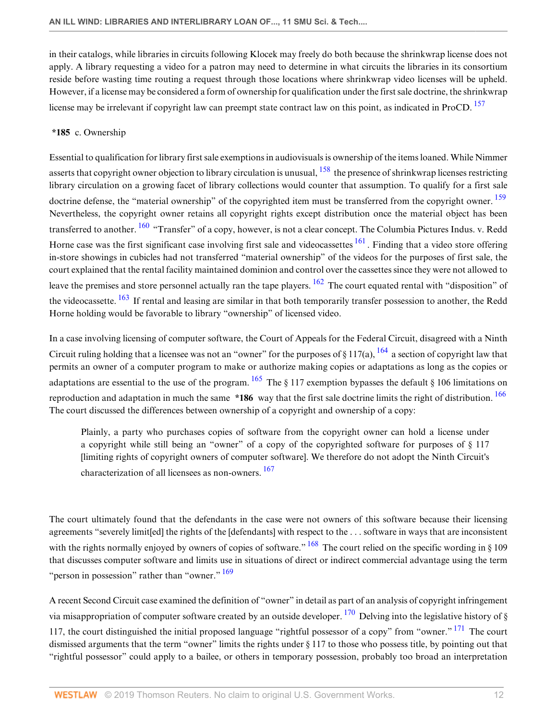in their catalogs, while libraries in circuits following Klocek may freely do both because the shrinkwrap license does not apply. A library requesting a video for a patron may need to determine in what circuits the libraries in its consortium reside before wasting time routing a request through those locations where shrinkwrap video licenses will be upheld. However, if a license may be considered a form of ownership for qualification under the first sale doctrine, the shrinkwrap license may be irrelevant if copyright law can preempt state contract law on this point, as indicated in ProCD. <sup>[157](#page-23-23)</sup>

# <span id="page-11-1"></span><span id="page-11-0"></span>**\*185** c. Ownership

<span id="page-11-4"></span><span id="page-11-3"></span><span id="page-11-2"></span>Essential to qualification for library first sale exemptions in audiovisuals is ownership of the items loaned. While Nimmer asserts that copyright owner objection to library circulation is unusual,  $^{158}$  $^{158}$  $^{158}$  the presence of shrinkwrap licenses restricting library circulation on a growing facet of library collections would counter that assumption. To qualify for a first sale doctrine defense, the "material ownership" of the copyrighted item must be transferred from the copyright owner. <sup>[159](#page-24-0)</sup> Nevertheless, the copyright owner retains all copyright rights except distribution once the material object has been transferred to another. <sup>[160](#page-24-1)</sup> "Transfer" of a copy, however, is not a clear concept. The Columbia Pictures Indus. v. Redd Horne case was the first significant case involving first sale and videocassettes  $^{161}$  $^{161}$  $^{161}$ . Finding that a video store offering in-store showings in cubicles had not transferred "material ownership" of the videos for the purposes of first sale, the court explained that the rental facility maintained dominion and control over the cassettes since they were not allowed to leave the premises and store personnel actually ran the tape players.  $\frac{162}{162}$  $\frac{162}{162}$  $\frac{162}{162}$  The court equated rental with "disposition" of the videocassette. <sup>[163](#page-24-4)</sup> If rental and leasing are similar in that both temporarily transfer possession to another, the Redd Horne holding would be favorable to library "ownership" of licensed video.

<span id="page-11-6"></span><span id="page-11-5"></span>In a case involving licensing of computer software, the Court of Appeals for the Federal Circuit, disagreed with a Ninth Circuit ruling holding that a licensee was not an "owner" for the purposes of § 117(a),  $^{164}$  $^{164}$  $^{164}$  a section of copyright law that permits an owner of a computer program to make or authorize making copies or adaptations as long as the copies or adaptations are essential to the use of the program.  $\frac{165}{105}$  $\frac{165}{105}$  $\frac{165}{105}$  The § 117 exemption bypasses the default § 106 limitations on reproduction and adaptation in much the same **\*186** way that the first sale doctrine limits the right of distribution. [166](#page-24-7) The court discussed the differences between ownership of a copyright and ownership of a copy:

<span id="page-11-11"></span><span id="page-11-10"></span><span id="page-11-9"></span><span id="page-11-8"></span><span id="page-11-7"></span>Plainly, a party who purchases copies of software from the copyright owner can hold a license under a copyright while still being an "owner" of a copy of the copyrighted software for purposes of § 117 [limiting rights of copyright owners of computer software]. We therefore do not adopt the Ninth Circuit's characterization of all licensees as non-owners. [167](#page-24-8)

The court ultimately found that the defendants in the case were not owners of this software because their licensing agreements "severely limit[ed] the rights of the [defendants] with respect to the . . . software in ways that are inconsistent with the rights normally enjoyed by owners of copies of software." <sup>[168](#page-24-9)</sup> The court relied on the specific wording in § 109 that discusses computer software and limits use in situations of direct or indirect commercial advantage using the term "person in possession" rather than "owner." <sup>[169](#page-24-10)</sup>

<span id="page-11-14"></span><span id="page-11-13"></span><span id="page-11-12"></span>A recent Second Circuit case examined the definition of "owner" in detail as part of an analysis of copyright infringement via misappropriation of computer software created by an outside developer. <sup>[170](#page-24-11)</sup> Delving into the legislative history of § 117, the court distinguished the initial proposed language "rightful possessor of a copy" from "owner."  $^{171}$  $^{171}$  $^{171}$  The court dismissed arguments that the term "owner" limits the rights under § 117 to those who possess title, by pointing out that "rightful possessor" could apply to a bailee, or others in temporary possession, probably too broad an interpretation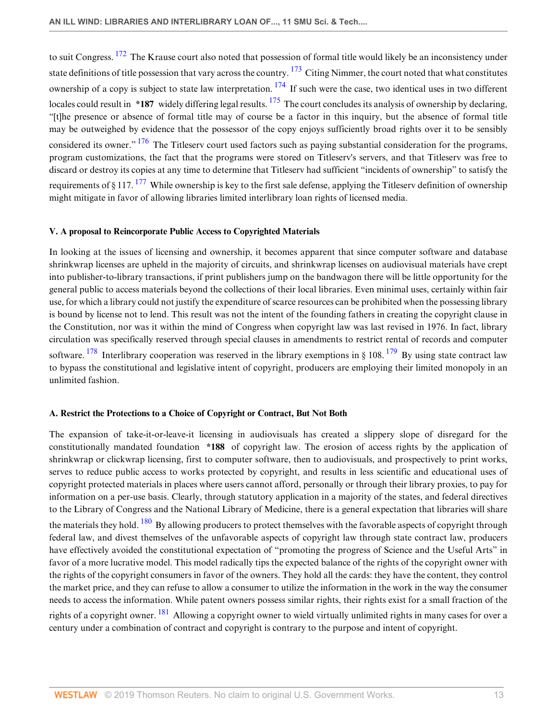<span id="page-12-4"></span><span id="page-12-3"></span><span id="page-12-2"></span><span id="page-12-1"></span><span id="page-12-0"></span>to suit Congress. <sup>[172](#page-24-13)</sup> The Krause court also noted that possession of formal title would likely be an inconsistency under state definitions of title possession that vary across the country.  $^{173}$  $^{173}$  $^{173}$  Citing Nimmer, the court noted that what constitutes ownership of a copy is subject to state law interpretation.  $174$  If such were the case, two identical uses in two different locales could result in \*187 widely differing legal results. <sup>[175](#page-24-16)</sup> The court concludes its analysis of ownership by declaring, "[t]he presence or absence of formal title may of course be a factor in this inquiry, but the absence of formal title may be outweighed by evidence that the possessor of the copy enjoys sufficiently broad rights over it to be sensibly considered its owner." <sup>[176](#page-24-17)</sup> The Titleserv court used factors such as paying substantial consideration for the programs, program customizations, the fact that the programs were stored on Titleserv's servers, and that Titleserv was free to discard or destroy its copies at any time to determine that Titleserv had sufficient "incidents of ownership" to satisfy the requirements of § 117.  $^{177}$  $^{177}$  $^{177}$  While ownership is key to the first sale defense, applying the Titleserv definition of ownership might mitigate in favor of allowing libraries limited interlibrary loan rights of licensed media.

#### <span id="page-12-5"></span>**V. A proposal to Reincorporate Public Access to Copyrighted Materials**

In looking at the issues of licensing and ownership, it becomes apparent that since computer software and database shrinkwrap licenses are upheld in the majority of circuits, and shrinkwrap licenses on audiovisual materials have crept into publisher-to-library transactions, if print publishers jump on the bandwagon there will be little opportunity for the general public to access materials beyond the collections of their local libraries. Even minimal uses, certainly within fair use, for which a library could not justify the expenditure of scarce resources can be prohibited when the possessing library is bound by license not to lend. This result was not the intent of the founding fathers in creating the copyright clause in the Constitution, nor was it within the mind of Congress when copyright law was last revised in 1976. In fact, library circulation was specifically reserved through special clauses in amendments to restrict rental of records and computer software. <sup>[178](#page-24-19)</sup> Interlibrary cooperation was reserved in the library exemptions in § 108. <sup>[179](#page-24-20)</sup> By using state contract law to bypass the constitutional and legislative intent of copyright, producers are employing their limited monopoly in an unlimited fashion.

#### <span id="page-12-7"></span><span id="page-12-6"></span>**A. Restrict the Protections to a Choice of Copyright or Contract, But Not Both**

<span id="page-12-9"></span><span id="page-12-8"></span>The expansion of take-it-or-leave-it licensing in audiovisuals has created a slippery slope of disregard for the constitutionally mandated foundation **\*188** of copyright law. The erosion of access rights by the application of shrinkwrap or clickwrap licensing, first to computer software, then to audiovisuals, and prospectively to print works, serves to reduce public access to works protected by copyright, and results in less scientific and educational uses of copyright protected materials in places where users cannot afford, personally or through their library proxies, to pay for information on a per-use basis. Clearly, through statutory application in a majority of the states, and federal directives to the Library of Congress and the National Library of Medicine, there is a general expectation that libraries will share the materials they hold. <sup>[180](#page-24-21)</sup> By allowing producers to protect themselves with the favorable aspects of copyright through federal law, and divest themselves of the unfavorable aspects of copyright law through state contract law, producers have effectively avoided the constitutional expectation of "promoting the progress of Science and the Useful Arts" in favor of a more lucrative model. This model radically tips the expected balance of the rights of the copyright owner with the rights of the copyright consumers in favor of the owners. They hold all the cards: they have the content, they control the market price, and they can refuse to allow a consumer to utilize the information in the work in the way the consumer needs to access the information. While patent owners possess similar rights, their rights exist for a small fraction of the rights of a copyright owner. <sup>[181](#page-24-22)</sup> Allowing a copyright owner to wield virtually unlimited rights in many cases for over a century under a combination of contract and copyright is contrary to the purpose and intent of copyright.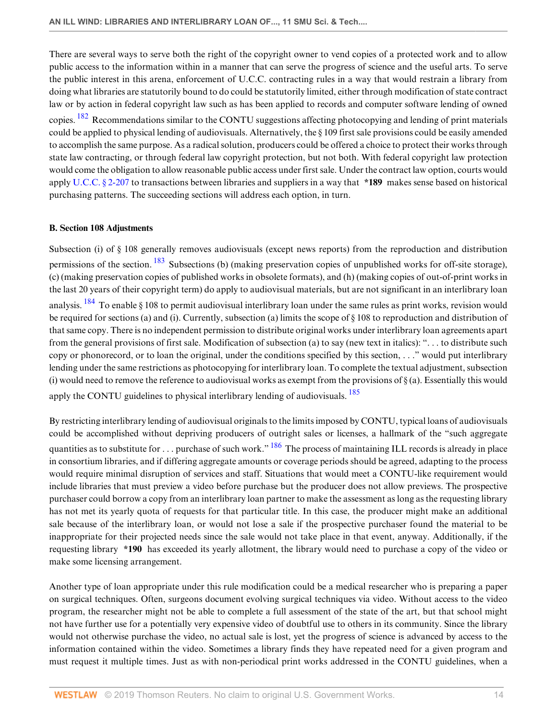There are several ways to serve both the right of the copyright owner to vend copies of a protected work and to allow public access to the information within in a manner that can serve the progress of science and the useful arts. To serve the public interest in this arena, enforcement of U.C.C. contracting rules in a way that would restrain a library from doing what libraries are statutorily bound to do could be statutorily limited, either through modification of state contract law or by action in federal copyright law such as has been applied to records and computer software lending of owned

<span id="page-13-0"></span>copies. <sup>[182](#page-24-23)</sup> Recommendations similar to the CONTU suggestions affecting photocopying and lending of print materials could be applied to physical lending of audiovisuals. Alternatively, the § 109 first sale provisions could be easily amended to accomplish the same purpose. As a radical solution, producers could be offered a choice to protect their works through state law contracting, or through federal law copyright protection, but not both. With federal copyright law protection would come the obligation to allow reasonable public access under first sale. Under the contract law option, courts would apply [U.C.C. § 2-207](http://www.westlaw.com/Link/Document/FullText?findType=L&pubNum=1002112&cite=ULUCCS2-207&originatingDoc=I240e9bb7137211deb055de4196f001f3&refType=LQ&originationContext=document&vr=3.0&rs=cblt1.0&transitionType=DocumentItem&contextData=(sc.Default)) to transactions between libraries and suppliers in a way that **\*189** makes sense based on historical purchasing patterns. The succeeding sections will address each option, in turn.

#### **B. Section 108 Adjustments**

<span id="page-13-2"></span><span id="page-13-1"></span>Subsection (i) of § 108 generally removes audiovisuals (except news reports) from the reproduction and distribution permissions of the section. <sup>[183](#page-25-0)</sup> Subsections (b) (making preservation copies of unpublished works for off-site storage), (c) (making preservation copies of published works in obsolete formats), and (h) (making copies of out-of-print works in the last 20 years of their copyright term) do apply to audiovisual materials, but are not significant in an interlibrary loan analysis. <sup>[184](#page-25-1)</sup> To enable § 108 to permit audiovisual interlibrary loan under the same rules as print works, revision would be required for sections (a) and (i). Currently, subsection (a) limits the scope of § 108 to reproduction and distribution of that same copy. There is no independent permission to distribute original works under interlibrary loan agreements apart from the general provisions of first sale. Modification of subsection (a) to say (new text in italics): ". . . to distribute such copy or phonorecord, or to loan the original, under the conditions specified by this section, . . ." would put interlibrary lending under the same restrictions as photocopying for interlibrary loan. To complete the textual adjustment, subsection (i) would need to remove the reference to audiovisual works as exempt from the provisions of  $\S$  (a). Essentially this would apply the CONTU guidelines to physical interlibrary lending of audiovisuals.<sup>[185](#page-25-2)</sup>

<span id="page-13-4"></span><span id="page-13-3"></span>By restricting interlibrary lending of audiovisual originals to the limits imposed by CONTU, typical loans of audiovisuals could be accomplished without depriving producers of outright sales or licenses, a hallmark of the "such aggregate quantities as to substitute for . . . purchase of such work."  $186$  The process of maintaining ILL records is already in place in consortium libraries, and if differing aggregate amounts or coverage periods should be agreed, adapting to the process would require minimal disruption of services and staff. Situations that would meet a CONTU-like requirement would include libraries that must preview a video before purchase but the producer does not allow previews. The prospective purchaser could borrow a copy from an interlibrary loan partner to make the assessment as long as the requesting library has not met its yearly quota of requests for that particular title. In this case, the producer might make an additional sale because of the interlibrary loan, or would not lose a sale if the prospective purchaser found the material to be inappropriate for their projected needs since the sale would not take place in that event, anyway. Additionally, if the requesting library **\*190** has exceeded its yearly allotment, the library would need to purchase a copy of the video or make some licensing arrangement.

Another type of loan appropriate under this rule modification could be a medical researcher who is preparing a paper on surgical techniques. Often, surgeons document evolving surgical techniques via video. Without access to the video program, the researcher might not be able to complete a full assessment of the state of the art, but that school might not have further use for a potentially very expensive video of doubtful use to others in its community. Since the library would not otherwise purchase the video, no actual sale is lost, yet the progress of science is advanced by access to the information contained within the video. Sometimes a library finds they have repeated need for a given program and must request it multiple times. Just as with non-periodical print works addressed in the CONTU guidelines, when a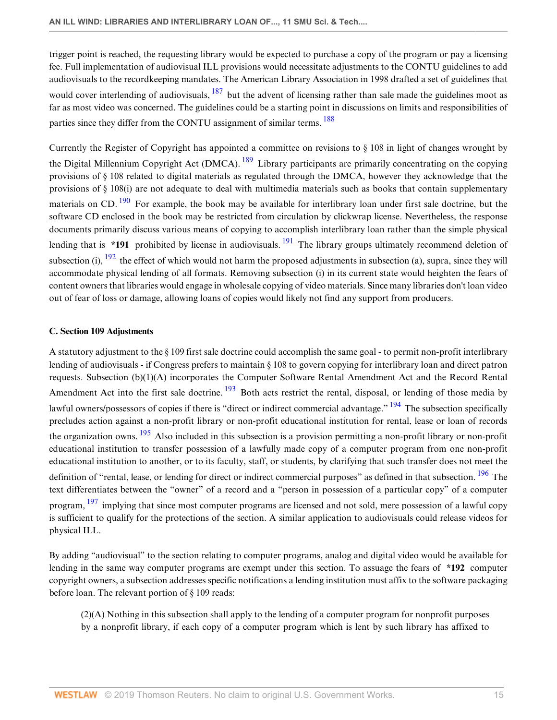<span id="page-14-0"></span>trigger point is reached, the requesting library would be expected to purchase a copy of the program or pay a licensing fee. Full implementation of audiovisual ILL provisions would necessitate adjustments to the CONTU guidelines to add audiovisuals to the recordkeeping mandates. The American Library Association in 1998 drafted a set of guidelines that would cover interlending of audiovisuals,  $^{187}$  $^{187}$  $^{187}$  but the advent of licensing rather than sale made the guidelines moot as far as most video was concerned. The guidelines could be a starting point in discussions on limits and responsibilities of parties since they differ from the CONTU assignment of similar terms. <sup>[188](#page-25-5)</sup>

<span id="page-14-4"></span><span id="page-14-3"></span><span id="page-14-2"></span><span id="page-14-1"></span>Currently the Register of Copyright has appointed a committee on revisions to § 108 in light of changes wrought by the Digital Millennium Copyright Act (DMCA). <sup>[189](#page-25-6)</sup> Library participants are primarily concentrating on the copying provisions of § 108 related to digital materials as regulated through the DMCA, however they acknowledge that the provisions of § 108(i) are not adequate to deal with multimedia materials such as books that contain supplementary materials on CD.  $190$  For example, the book may be available for interlibrary loan under first sale doctrine, but the software CD enclosed in the book may be restricted from circulation by clickwrap license. Nevertheless, the response documents primarily discuss various means of copying to accomplish interlibrary loan rather than the simple physical lending that is **\*[191](#page-25-8)** prohibited by license in audiovisuals.  $\frac{191}{2}$  The library groups ultimately recommend deletion of subsection (i),  $\frac{192}{192}$  $\frac{192}{192}$  $\frac{192}{192}$  the effect of which would not harm the proposed adjustments in subsection (a), supra, since they will accommodate physical lending of all formats. Removing subsection (i) in its current state would heighten the fears of content owners that libraries would engage in wholesale copying of video materials. Since many libraries don't loan video out of fear of loss or damage, allowing loans of copies would likely not find any support from producers.

# <span id="page-14-5"></span>**C. Section 109 Adjustments**

<span id="page-14-8"></span><span id="page-14-7"></span><span id="page-14-6"></span>A statutory adjustment to the  $\S$  109 first sale doctrine could accomplish the same goal - to permit non-profit interlibrary lending of audiovisuals - if Congress prefers to maintain § 108 to govern copying for interlibrary loan and direct patron requests. Subsection (b)(1)(A) incorporates the Computer Software Rental Amendment Act and the Record Rental Amendment Act into the first sale doctrine. <sup>[193](#page-25-10)</sup> Both acts restrict the rental, disposal, or lending of those media by lawful owners/possessors of copies if there is "direct or indirect commercial advantage." <sup>[194](#page-25-11)</sup> The subsection specifically precludes action against a non-profit library or non-profit educational institution for rental, lease or loan of records the organization owns.  $195$  Also included in this subsection is a provision permitting a non-profit library or non-profit educational institution to transfer possession of a lawfully made copy of a computer program from one non-profit educational institution to another, or to its faculty, staff, or students, by clarifying that such transfer does not meet the definition of "rental, lease, or lending for direct or indirect commercial purposes" as defined in that subsection. <sup>[196](#page-25-13)</sup> The text differentiates between the "owner" of a record and a "person in possession of a particular copy" of a computer program, <sup>[197](#page-25-14)</sup> implying that since most computer programs are licensed and not sold, mere possession of a lawful copy is sufficient to qualify for the protections of the section. A similar application to audiovisuals could release videos for physical ILL.

<span id="page-14-10"></span>By adding "audiovisual" to the section relating to computer programs, analog and digital video would be available for lending in the same way computer programs are exempt under this section. To assuage the fears of **\*192** computer copyright owners, a subsection addresses specific notifications a lending institution must affix to the software packaging before loan. The relevant portion of § 109 reads:

<span id="page-14-9"></span>(2)(A) Nothing in this subsection shall apply to the lending of a computer program for nonprofit purposes by a nonprofit library, if each copy of a computer program which is lent by such library has affixed to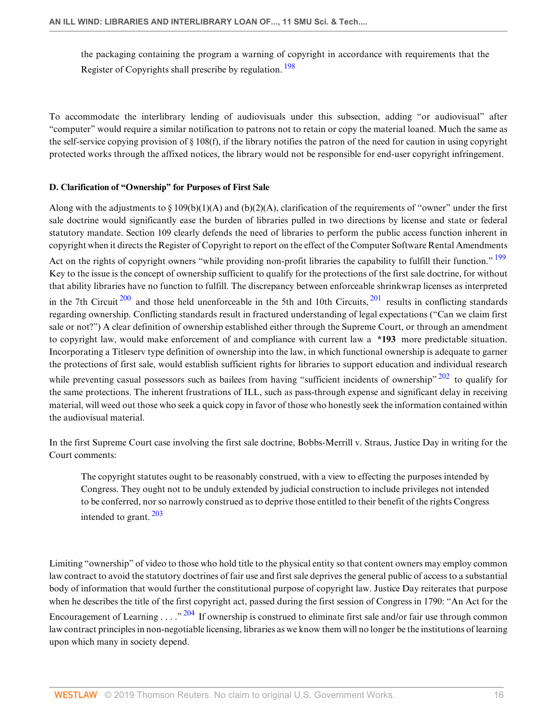<span id="page-15-0"></span>the packaging containing the program a warning of copyright in accordance with requirements that the Register of Copyrights shall prescribe by regulation. <sup>[198](#page-25-15)</sup>

To accommodate the interlibrary lending of audiovisuals under this subsection, adding "or audiovisual" after "computer" would require a similar notification to patrons not to retain or copy the material loaned. Much the same as the self-service copying provision of  $\S 108(f)$ , if the library notifies the patron of the need for caution in using copyright protected works through the affixed notices, the library would not be responsible for end-user copyright infringement.

# **D. Clarification of "Ownership" for Purposes of First Sale**

Along with the adjustments to § 109(b)(1)(A) and (b)(2)(A), clarification of the requirements of "owner" under the first sale doctrine would significantly ease the burden of libraries pulled in two directions by license and state or federal statutory mandate. Section 109 clearly defends the need of libraries to perform the public access function inherent in copyright when it directs the Register of Copyright to report on the effect of the Computer Software Rental Amendments

<span id="page-15-1"></span>Act on the rights of copyright owners "while providing non-profit libraries the capability to fulfill their function." <sup>[199](#page-25-16)</sup> Key to the issue is the concept of ownership sufficient to qualify for the protections of the first sale doctrine, for without that ability libraries have no function to fulfill. The discrepancy between enforceable shrinkwrap licenses as interpreted

<span id="page-15-3"></span><span id="page-15-2"></span>in the 7th Circuit  $200$  and those held unenforceable in the 5th and 10th Circuits,  $201$  results in conflicting standards regarding ownership. Conflicting standards result in fractured understanding of legal expectations ("Can we claim first sale or not?") A clear definition of ownership established either through the Supreme Court, or through an amendment to copyright law, would make enforcement of and compliance with current law a **\*193** more predictable situation. Incorporating a Titleserv type definition of ownership into the law, in which functional ownership is adequate to garner the protections of first sale, would establish sufficient rights for libraries to support education and individual research

while preventing casual possessors such as bailees from having "sufficient incidents of ownership"  $202$  to qualify for the same protections. The inherent frustrations of ILL, such as pass-through expense and significant delay in receiving material, will weed out those who seek a quick copy in favor of those who honestly seek the information contained within the audiovisual material.

In the first Supreme Court case involving the first sale doctrine, Bobbs-Merrill v. Straus, Justice Day in writing for the Court comments:

<span id="page-15-5"></span><span id="page-15-4"></span>The copyright statutes ought to be reasonably construed, with a view to effecting the purposes intended by Congress. They ought not to be unduly extended by judicial construction to include privileges not intended to be conferred, nor so narrowly construed as to deprive those entitled to their benefit of the rights Congress intended to grant. [203](#page-25-20)

<span id="page-15-6"></span>Limiting "ownership" of video to those who hold title to the physical entity so that content owners may employ common law contract to avoid the statutory doctrines of fair use and first sale deprives the general public of access to a substantial body of information that would further the constitutional purpose of copyright law. Justice Day reiterates that purpose when he describes the title of the first copyright act, passed during the first session of Congress in 1790: "An Act for the Encouragement of Learning  $\ldots$   $\frac{204}{1}$  $\frac{204}{1}$  $\frac{204}{1}$  If ownership is construed to eliminate first sale and/or fair use through common law contract principles in non-negotiable licensing, libraries as we know them will no longer be the institutions of learning upon which many in society depend.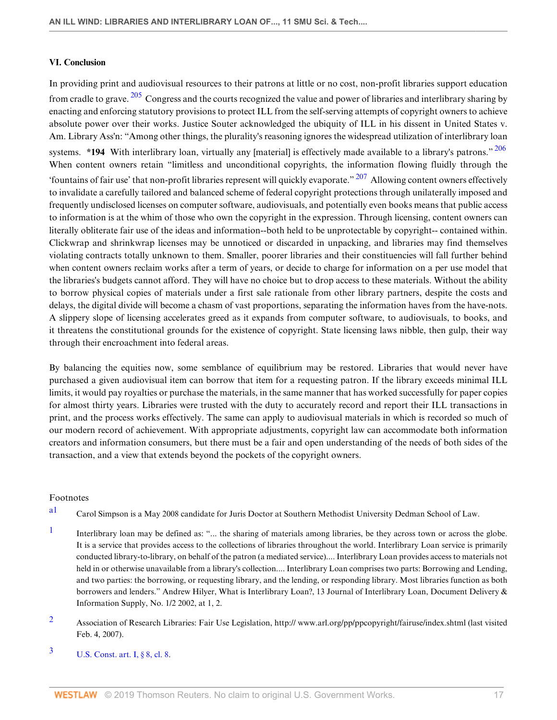# **VI. Conclusion**

<span id="page-16-6"></span><span id="page-16-5"></span><span id="page-16-4"></span>In providing print and audiovisual resources to their patrons at little or no cost, non-profit libraries support education from cradle to grave.  $205$  Congress and the courts recognized the value and power of libraries and interlibrary sharing by enacting and enforcing statutory provisions to protect ILL from the self-serving attempts of copyright owners to achieve absolute power over their works. Justice Souter acknowledged the ubiquity of ILL in his dissent in United States v. Am. Library Ass'n: "Among other things, the plurality's reasoning ignores the widespread utilization of interlibrary loan systems. **\*194** With interlibrary loan, virtually any [material] is effectively made available to a library's patrons."<sup>[206](#page-26-0)</sup> When content owners retain "limitless and unconditional copyrights, the information flowing fluidly through the 'fountains of fair use' that non-profit libraries represent will quickly evaporate."  $207$  Allowing content owners effectively to invalidate a carefully tailored and balanced scheme of federal copyright protections through unilaterally imposed and frequently undisclosed licenses on computer software, audiovisuals, and potentially even books means that public access to information is at the whim of those who own the copyright in the expression. Through licensing, content owners can literally obliterate fair use of the ideas and information--both held to be unprotectable by copyright-- contained within. Clickwrap and shrinkwrap licenses may be unnoticed or discarded in unpacking, and libraries may find themselves violating contracts totally unknown to them. Smaller, poorer libraries and their constituencies will fall further behind when content owners reclaim works after a term of years, or decide to charge for information on a per use model that the libraries's budgets cannot afford. They will have no choice but to drop access to these materials. Without the ability to borrow physical copies of materials under a first sale rationale from other library partners, despite the costs and delays, the digital divide will become a chasm of vast proportions, separating the information haves from the have-nots. A slippery slope of licensing accelerates greed as it expands from computer software, to audiovisuals, to books, and it threatens the constitutional grounds for the existence of copyright. State licensing laws nibble, then gulp, their way through their encroachment into federal areas.

By balancing the equities now, some semblance of equilibrium may be restored. Libraries that would never have purchased a given audiovisual item can borrow that item for a requesting patron. If the library exceeds minimal ILL limits, it would pay royalties or purchase the materials, in the same manner that has worked successfully for paper copies for almost thirty years. Libraries were trusted with the duty to accurately record and report their ILL transactions in print, and the process works effectively. The same can apply to audiovisual materials in which is recorded so much of our modern record of achievement. With appropriate adjustments, copyright law can accommodate both information creators and information consumers, but there must be a fair and open understanding of the needs of both sides of the transaction, and a view that extends beyond the pockets of the copyright owners.

# Footnotes

- <span id="page-16-0"></span>[a1](#page-0-0) Carol Simpson is a May 2008 candidate for Juris Doctor at Southern Methodist University Dedman School of Law.
- <span id="page-16-1"></span>[1](#page-0-1) Interlibrary loan may be defined as: "... the sharing of materials among libraries, be they across town or across the globe. It is a service that provides access to the collections of libraries throughout the world. Interlibrary Loan service is primarily conducted library-to-library, on behalf of the patron (a mediated service).... Interlibrary Loan provides access to materials not held in or otherwise unavailable from a library's collection.... Interlibrary Loan comprises two parts: Borrowing and Lending, and two parties: the borrowing, or requesting library, and the lending, or responding library. Most libraries function as both borrowers and lenders." Andrew Hilyer, What is Interlibrary Loan?, 13 Journal of Interlibrary Loan, Document Delivery & Information Supply, No. 1/2 2002, at 1, 2.
- <span id="page-16-2"></span>[2](#page-0-2) Association of Research Libraries: Fair Use Legislation, http:// www.arl.org/pp/ppcopyright/fairuse/index.shtml (last visited Feb. 4, 2007).
- <span id="page-16-3"></span> $3 \text{ U.S. Const. art. I, § 8, cl. 8.}$  $3 \text{ U.S. Const. art. I, § 8, cl. 8.}$  $3 \text{ U.S. Const. art. I, § 8, cl. 8.}$  $3 \text{ U.S. Const. art. I, § 8, cl. 8.}$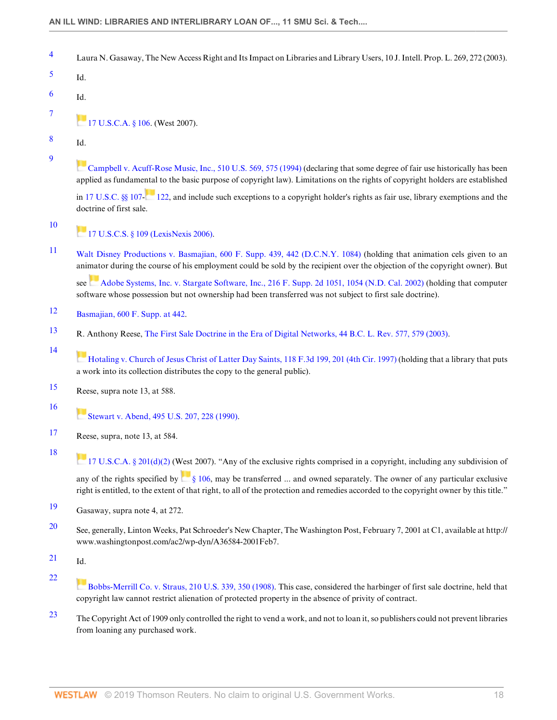- <span id="page-17-0"></span>[4](#page-0-4) Laura N. Gasaway, The New Access Right and Its Impact on Libraries and Library Users, 10 J. Intell. Prop. L. 269, 272 (2003).
- <span id="page-17-1"></span>[5](#page-0-5) Id.
- <span id="page-17-2"></span>[6](#page-0-6) Id.
- - [17 U.S.C.A. § 106](http://www.westlaw.com/Link/Document/FullText?findType=L&pubNum=1000546&cite=17USCAS106&originatingDoc=I240e9bb7137211deb055de4196f001f3&refType=LQ&originationContext=document&vr=3.0&rs=cblt1.0&transitionType=DocumentItem&contextData=(sc.Default)). (West 2007).
- <span id="page-17-4"></span>[8](#page-1-0) Id.

<span id="page-17-3"></span>[7](#page-0-7)

<span id="page-17-5"></span>[9](#page-1-1)

[Campbell v. Acuff-Rose Music, Inc., 510 U.S. 569, 575 \(1994\)](http://www.westlaw.com/Link/Document/FullText?findType=Y&serNum=1994058334&pubNum=0000780&originatingDoc=I240e9bb7137211deb055de4196f001f3&refType=RP&fi=co_pp_sp_780_575&originationContext=document&vr=3.0&rs=cblt1.0&transitionType=DocumentItem&contextData=(sc.Default)#co_pp_sp_780_575) (declaring that some degree of fair use historically has been applied as fundame[ntal](https://1.next.westlaw.com/Link/RelatedInformation/Flag?documentGuid=NF1D8D4B0865C11E4ADECF9649E758D83&transitionType=InlineKeyCiteFlags&originationContext=docHeaderFlag&contextData=(sc.Default) ) to the basic purpose of copyright law). Limitations on the rights of copyright holders are established

in [17 U.S.C. §§ 107](http://www.westlaw.com/Link/Document/FullText?findType=L&pubNum=1000546&cite=17USCAS107&originatingDoc=I240e9bb7137211deb055de4196f001f3&refType=LQ&originationContext=document&vr=3.0&rs=cblt1.0&transitionType=DocumentItem&contextData=(sc.Default)). [122,](http://www.westlaw.com/Link/Document/FullText?findType=L&pubNum=1000546&cite=17USCAS122&originatingDoc=I240e9bb7137211deb055de4196f001f3&refType=LQ&originationContext=document&vr=3.0&rs=cblt1.0&transitionType=DocumentItem&contextData=(sc.Default)) and include such exceptions to a copyright holder's rights as fair use, library exemptions and the doctrine of first sale.

<span id="page-17-6"></span>[10](#page-1-2)

<span id="page-17-10"></span>[14](#page-1-6)

<span id="page-17-14"></span>[18](#page-1-10)

**[17 U.S.C.S. § 109 \(LexisNexis 2006\).](http://www.westlaw.com/Link/Document/FullText?findType=L&pubNum=1000546&cite=17USCAS109&originatingDoc=I240e9bb7137211deb055de4196f001f3&refType=LQ&originationContext=document&vr=3.0&rs=cblt1.0&transitionType=DocumentItem&contextData=(sc.Default))** 

<span id="page-17-7"></span>[11](#page-1-3) [Walt Disney Productions v. Basmajian, 600 F. Supp. 439, 442 \(D.C.N.Y. 1084\)](http://www.westlaw.com/Link/Document/FullText?findType=Y&serNum=1985104067&pubNum=0000345&originatingDoc=I240e9bb7137211deb055de4196f001f3&refType=RP&fi=co_pp_sp_345_442&originationContext=document&vr=3.0&rs=cblt1.0&transitionType=DocumentItem&contextData=(sc.Default)#co_pp_sp_345_442) (holding that animation cels given to an animator during the course of his employment could be sold by the recipient over the objection of the copyright owner). But

see [Adobe Systems, Inc. v. Stargate Software, Inc., 216 F. Supp. 2d 1051, 1054 \(N.D. Cal. 2002\)](http://www.westlaw.com/Link/Document/FullText?findType=Y&serNum=2002534225&pubNum=0004637&originatingDoc=I240e9bb7137211deb055de4196f001f3&refType=RP&fi=co_pp_sp_4637_1054&originationContext=document&vr=3.0&rs=cblt1.0&transitionType=DocumentItem&contextData=(sc.Default)#co_pp_sp_4637_1054) (holding that computer software whose possession but not ownership had been transferred was not subject to first sale doctrine).

- <span id="page-17-8"></span>[12](#page-1-4) [Basmajian, 600 F. Supp. at 442](http://www.westlaw.com/Link/Document/FullText?findType=Y&serNum=1985104067&pubNum=0000345&originatingDoc=I240e9bb7137211deb055de4196f001f3&refType=RP&fi=co_pp_sp_345_442&originationContext=document&vr=3.0&rs=cblt1.0&transitionType=DocumentItem&contextData=(sc.Default)#co_pp_sp_345_442).
- <span id="page-17-9"></span>[13](#page-1-5) R. Anthony Reese, [The First Sale Doctrine in the Era of Digital Networks, 44 B.C. L. Rev. 577, 579 \(2003\).](http://www.westlaw.com/Link/Document/FullText?findType=Y&serNum=0294619541&pubNum=0001101&originatingDoc=I240e9bb7137211deb055de4196f001f3&refType=LR&fi=co_pp_sp_1101_579&originationContext=document&vr=3.0&rs=cblt1.0&transitionType=DocumentItem&contextData=(sc.Default)#co_pp_sp_1101_579)

[Hotaling v. Church of Jesus Christ of Latter Day Saints, 118 F.3d 199, 201 \(4th Cir. 1997\)](http://www.westlaw.com/Link/Document/FullText?findType=Y&serNum=1997137557&pubNum=0000506&originatingDoc=I240e9bb7137211deb055de4196f001f3&refType=RP&fi=co_pp_sp_506_201&originationContext=document&vr=3.0&rs=cblt1.0&transitionType=DocumentItem&contextData=(sc.Default)#co_pp_sp_506_201) (holding that a library that puts a work into its collection distributes the copy to the general public).

- <span id="page-17-11"></span>[15](#page-1-7) Reese, supra note 13, at 588.
- <span id="page-17-12"></span>[16](#page-1-8) [Stewart v. Abend, 495 U.S. 207, 228 \(1990\)](http://www.westlaw.com/Link/Document/FullText?findType=Y&serNum=1990067423&pubNum=0000780&originatingDoc=I240e9bb7137211deb055de4196f001f3&refType=RP&fi=co_pp_sp_780_228&originationContext=document&vr=3.0&rs=cblt1.0&transitionType=DocumentItem&contextData=(sc.Default)#co_pp_sp_780_228).
- <span id="page-17-13"></span>[17](#page-1-9) Reese, supra, note 13, at 584.
- [17 U.S.C.A. § 201\(d\)\(2\)](http://www.westlaw.com/Link/Document/FullText?findType=L&pubNum=1000546&cite=17USCAS201&originatingDoc=I240e9bb7137211deb055de4196f001f3&refType=RB&originationContext=document&vr=3.0&rs=cblt1.0&transitionType=DocumentItem&contextData=(sc.Default)#co_pp_4be3000003be5) (West 2007). "Any of the exclusive rights comprised in a copyright, including any subdivision of any of the rights specified by  $\frac{8}{9}$  106, may be transferred ... and owned separately. The owner of any particular exclusive right is entitled, to the extent of that right, to all of the protection and remedies accorded to the copyright owner by this title."
- <span id="page-17-15"></span>[19](#page-1-11) Gasaway, supra note 4, at 272.
- <span id="page-17-16"></span>[20](#page-1-12) See, generally, Linton Weeks, Pat Schroeder's New Chapter, The Washington Post, February 7, 2001 at C1, available at http:// www.washingtonpost.com/ac2/wp-dyn/A36584-2001Feb7.
- <span id="page-17-17"></span>[21](#page-1-13) Id.

<span id="page-17-18"></span>[22](#page-1-14)

- [Bobbs-Merrill Co. v. Straus, 210 U.S. 339, 350 \(1908\)](http://www.westlaw.com/Link/Document/FullText?findType=Y&serNum=1908100341&pubNum=0000780&originatingDoc=I240e9bb7137211deb055de4196f001f3&refType=RP&fi=co_pp_sp_780_350&originationContext=document&vr=3.0&rs=cblt1.0&transitionType=DocumentItem&contextData=(sc.Default)#co_pp_sp_780_350). This case, considered the harbinger of first sale doctrine, held that copyright law cannot restrict alienation of protected property in the absence of privity of contract.
- <span id="page-17-19"></span>[23](#page-1-15) The Copyright Act of 1909 only controlled the right to vend a work, and not to loan it, so publishers could not prevent libraries from loaning any purchased work.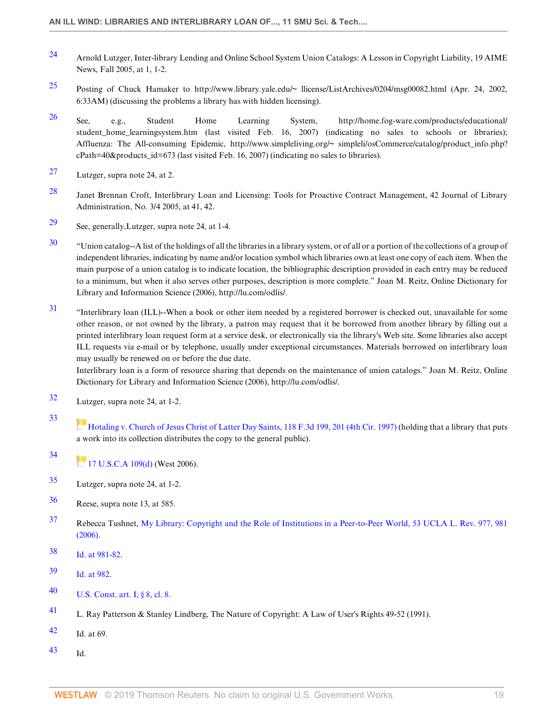- <span id="page-18-0"></span>[24](#page-1-16) Arnold Lutzger, Inter-library Lending and Online School System Union Catalogs: A Lesson in Copyright Liability, 19 AIME News, Fall 2005, at 1, 1-2.
- <span id="page-18-1"></span>[25](#page-1-17) Posting of Chuck Hamaker to http://www.library.yale.edu/~ llicense/ListArchives/0204/msg00082.html (Apr. 24, 2002, 6:33AM) (discussing the problems a library has with hidden licensing).
- <span id="page-18-2"></span>[26](#page-1-18) See, e.g., Student Home Learning System, http://home.fog-ware.com/products/educational/ student\_home\_learningsystem.htm (last visited Feb. 16, 2007) (indicating no sales to schools or libraries); Affluenza: The All-consuming Epidemic, http://www.simpleliving.org/~ simpleli/osCommerce/catalog/product\_info.php? cPath=40&products\_id=673 (last visited Feb. 16, 2007) (indicating no sales to libraries).
- <span id="page-18-3"></span>[27](#page-1-19) Lutzger, supra note 24, at 2.
- <span id="page-18-4"></span>[28](#page-2-0) Janet Brennan Croft, Interlibrary Loan and Licensing: Tools for Proactive Contract Management, 42 Journal of Library Administration, No. 3/4 2005, at 41, 42.
- <span id="page-18-5"></span>[29](#page-2-1) See, generally,Lutzger, supra note 24, at 1-4.
- <span id="page-18-6"></span>[30](#page-2-2) "Union catalog--A list of the holdings of all the libraries in a library system, or of all or a portion of the collections of a group of independent libraries, indicating by name and/or location symbol which libraries own at least one copy of each item. When the main purpose of a union catalog is to indicate location, the bibliographic description provided in each entry may be reduced to a minimum, but when it also serves other purposes, description is more complete." Joan M. Reitz, Online Dictionary for Library and Information Science (2006), http://lu.com/odlis/.
- <span id="page-18-7"></span>[31](#page-2-3) "Interlibrary loan (ILL)--When a book or other item needed by a registered borrower is checked out, unavailable for some other reason, or not owned by the library, a patron may request that it be borrowed from another library by filling out a printed interlibrary loan request form at a service desk, or electronically via the library's Web site. Some libraries also accept ILL requests via e-mail or by telephone, usually under exceptional circumstances. Materials borrowed on interlibrary loan may usually be renewed on or before the due date.

Interlibrary loan is a form of resource sharing that depends on the maintenance of union catalogs." Joan M. Reitz, Online Dictionary for Library and Information Science (2006), http://lu.com/odlis/.

<span id="page-18-8"></span>[32](#page-2-4) Lutzger, supra note 24, at 1-2.

# <span id="page-18-9"></span>[33](#page-2-5)

[Hotaling v. Church of Jesus Christ of Latter Day Saints, 118 F.3d 199, 201 \(4th Cir. 1997\)](http://www.westlaw.com/Link/Document/FullText?findType=Y&serNum=1997137557&pubNum=0000506&originatingDoc=I240e9bb7137211deb055de4196f001f3&refType=RP&fi=co_pp_sp_506_201&originationContext=document&vr=3.0&rs=cblt1.0&transitionType=DocumentItem&contextData=(sc.Default)#co_pp_sp_506_201) (holding that a library that puts a work into its collection distributes the copy to the general public).

- <span id="page-18-10"></span>[34](#page-2-6)  $17$  U.S.C.A 109(d) (West 2006).
- <span id="page-18-11"></span>[35](#page-2-7) Lutzger, supra note 24, at 1-2.
- <span id="page-18-12"></span>[36](#page-2-8) Reese, supra note 13, at 585.
- <span id="page-18-13"></span>[37](#page-2-9) Rebecca Tushnet, [My Library: Copyright and the Role of Institutions in a Peer-to-Peer World, 53 UCLA L. Rev. 977, 981](http://www.westlaw.com/Link/Document/FullText?findType=Y&serNum=0316530069&pubNum=0003041&originatingDoc=I240e9bb7137211deb055de4196f001f3&refType=LR&fi=co_pp_sp_3041_981&originationContext=document&vr=3.0&rs=cblt1.0&transitionType=DocumentItem&contextData=(sc.Default)#co_pp_sp_3041_981) [\(2006\).](http://www.westlaw.com/Link/Document/FullText?findType=Y&serNum=0316530069&pubNum=0003041&originatingDoc=I240e9bb7137211deb055de4196f001f3&refType=LR&fi=co_pp_sp_3041_981&originationContext=document&vr=3.0&rs=cblt1.0&transitionType=DocumentItem&contextData=(sc.Default)#co_pp_sp_3041_981)
- <span id="page-18-14"></span>[38](#page-2-10) [Id. at 981-82](http://www.westlaw.com/Link/Document/FullText?findType=Y&serNum=0316530069&pubNum=0003041&originatingDoc=I240e9bb7137211deb055de4196f001f3&refType=LR&fi=co_pp_sp_3041_981&originationContext=document&vr=3.0&rs=cblt1.0&transitionType=DocumentItem&contextData=(sc.Default)#co_pp_sp_3041_981).
- <span id="page-18-15"></span>[39](#page-2-11) [Id. at 982](http://www.westlaw.com/Link/Document/FullText?findType=Y&serNum=0316530069&pubNum=0003041&originatingDoc=I240e9bb7137211deb055de4196f001f3&refType=LR&fi=co_pp_sp_3041_982&originationContext=document&vr=3.0&rs=cblt1.0&transitionType=DocumentItem&contextData=(sc.Default)#co_pp_sp_3041_982).
- <span id="page-18-16"></span>[40](#page-2-12) [U.S. Const. art. I, § 8, cl. 8](http://www.westlaw.com/Link/Document/FullText?findType=L&pubNum=1000583&cite=USCOARTIS8CL8&originatingDoc=I240e9bb7137211deb055de4196f001f3&refType=LQ&originationContext=document&vr=3.0&rs=cblt1.0&transitionType=DocumentItem&contextData=(sc.Default)).
- <span id="page-18-17"></span>[41](#page-3-0) L. Ray Patterson & Stanley Lindberg, The Nature of Copyright: A Law of User's Rights 49-52 (1991).
- <span id="page-18-18"></span> $42$  Id. at 69.
- <span id="page-18-19"></span> $43$  Id.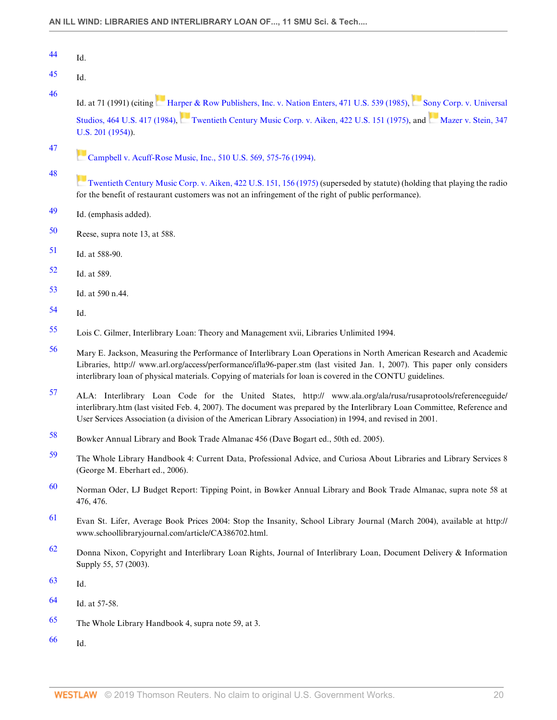<span id="page-19-0"></span>

| ΛΛ | Id. |
|----|-----|
|    |     |

- <span id="page-19-1"></span> $45$  Id.
- <span id="page-19-2"></span>[46](#page-3-5)

Id. at 71 (1991) (citing [Harper & Row Publishers, Inc. v. Nation Enters, 471 U.S. 539 \(1985\)](http://www.westlaw.com/Link/Document/FullText?findType=Y&serNum=1985125844&pubNum=0000780&originatingDoc=I240e9bb7137211deb055de4196f001f3&refType=RP&originationContext=document&vr=3.0&rs=cblt1.0&transitionType=DocumentItem&contextData=(sc.Default)), [Sony Corp. v. Universal](http://www.westlaw.com/Link/Document/FullText?findType=Y&serNum=1984103021&pubNum=0000780&originatingDoc=I240e9bb7137211deb055de4196f001f3&refType=RP&originationContext=document&vr=3.0&rs=cblt1.0&transitionType=DocumentItem&contextData=(sc.Default)) [Studios, 464 U.S. 417 \(1984\)](http://www.westlaw.com/Link/Document/FullText?findType=Y&serNum=1984103021&pubNum=0000780&originatingDoc=I240e9bb7137211deb055de4196f001f3&refType=RP&originationContext=document&vr=3.0&rs=cblt1.0&transitionType=DocumentItem&contextData=(sc.Default)), [Twentieth Century Music Corp. v. Aiken, 422 U.S. 151 \(1975\)](http://www.westlaw.com/Link/Document/FullText?findType=Y&serNum=1975129809&pubNum=0000780&originatingDoc=I240e9bb7137211deb055de4196f001f3&refType=RP&originationContext=document&vr=3.0&rs=cblt1.0&transitionType=DocumentItem&contextData=(sc.Default)), and [Mazer v. Stein, 347](http://www.westlaw.com/Link/Document/FullText?findType=Y&serNum=1954119246&pubNum=0000780&originatingDoc=I240e9bb7137211deb055de4196f001f3&refType=RP&originationContext=document&vr=3.0&rs=cblt1.0&transitionType=DocumentItem&contextData=(sc.Default)) [U.S. 201 \(1954\)](http://www.westlaw.com/Link/Document/FullText?findType=Y&serNum=1954119246&pubNum=0000780&originatingDoc=I240e9bb7137211deb055de4196f001f3&refType=RP&originationContext=document&vr=3.0&rs=cblt1.0&transitionType=DocumentItem&contextData=(sc.Default))).

<span id="page-19-3"></span>[47](#page-3-6)

<span id="page-19-4"></span>[48](#page-3-7)

**[Campbell v. Acuff-Rose Music, Inc., 510 U.S. 569, 575-76 \(1994\).](http://www.westlaw.com/Link/Document/FullText?findType=Y&serNum=1994058334&pubNum=0000780&originatingDoc=I240e9bb7137211deb055de4196f001f3&refType=RP&fi=co_pp_sp_780_575&originationContext=document&vr=3.0&rs=cblt1.0&transitionType=DocumentItem&contextData=(sc.Default)#co_pp_sp_780_575)** 

- [Twentieth Century Music Corp. v. Aiken, 422 U.S. 151, 156 \(1975\)](http://www.westlaw.com/Link/Document/FullText?findType=Y&serNum=1975129809&pubNum=0000780&originatingDoc=I240e9bb7137211deb055de4196f001f3&refType=RP&fi=co_pp_sp_780_156&originationContext=document&vr=3.0&rs=cblt1.0&transitionType=DocumentItem&contextData=(sc.Default)#co_pp_sp_780_156) (superseded by statute) (holding that playing the radio for the benefit of restaurant customers was not an infringement of the right of public performance).
- <span id="page-19-5"></span>[49](#page-3-8) Id. (emphasis added).
- <span id="page-19-6"></span>[50](#page-3-9) Reese, supra note 13, at 588.
- <span id="page-19-7"></span>[51](#page-3-10) Id. at 588-90.
- <span id="page-19-8"></span>[52](#page-3-11) Id. at 589.
- <span id="page-19-9"></span>[53](#page-3-12) Id. at 590 n.44.
- <span id="page-19-10"></span>[54](#page-3-13) Id.
- <span id="page-19-11"></span>[55](#page-3-14) Lois C. Gilmer, Interlibrary Loan: Theory and Management xvii, Libraries Unlimited 1994.
- <span id="page-19-12"></span>[56](#page-3-15) Mary E. Jackson, Measuring the Performance of Interlibrary Loan Operations in North American Research and Academic Libraries, http:// www.arl.org/access/performance/ifla96-paper.stm (last visited Jan. 1, 2007). This paper only considers interlibrary loan of physical materials. Copying of materials for loan is covered in the CONTU guidelines.
- <span id="page-19-13"></span>[57](#page-3-16) ALA: Interlibrary Loan Code for the United States, http:// www.ala.org/ala/rusa/rusaprotools/referenceguide/ interlibrary.htm (last visited Feb. 4, 2007). The document was prepared by the Interlibrary Loan Committee, Reference and User Services Association (a division of the American Library Association) in 1994, and revised in 2001.
- <span id="page-19-14"></span>[58](#page-3-17) Bowker Annual Library and Book Trade Almanac 456 (Dave Bogart ed., 50th ed. 2005).
- <span id="page-19-15"></span>[59](#page-3-18) The Whole Library Handbook 4: Current Data, Professional Advice, and Curiosa About Libraries and Library Services 8 (George M. Eberhart ed., 2006).
- <span id="page-19-16"></span>[60](#page-3-19) Norman Oder, LJ Budget Report: Tipping Point, in Bowker Annual Library and Book Trade Almanac, supra note 58 at 476, 476.
- <span id="page-19-17"></span>[61](#page-4-0) Evan St. Lifer, Average Book Prices 2004: Stop the Insanity, School Library Journal (March 2004), available at http:// www.schoollibraryjournal.com/article/CA386702.html.
- <span id="page-19-18"></span>[62](#page-4-1) Donna Nixon, Copyright and Interlibrary Loan Rights, Journal of Interlibrary Loan, Document Delivery & Information Supply 55, 57 (2003).
- <span id="page-19-19"></span>[63](#page-4-2) Id.
- <span id="page-19-20"></span>[64](#page-4-3) Id. at 57-58.
- <span id="page-19-21"></span>[65](#page-4-4) The Whole Library Handbook 4, supra note 59, at 3.
- <span id="page-19-22"></span>[66](#page-4-5) Id.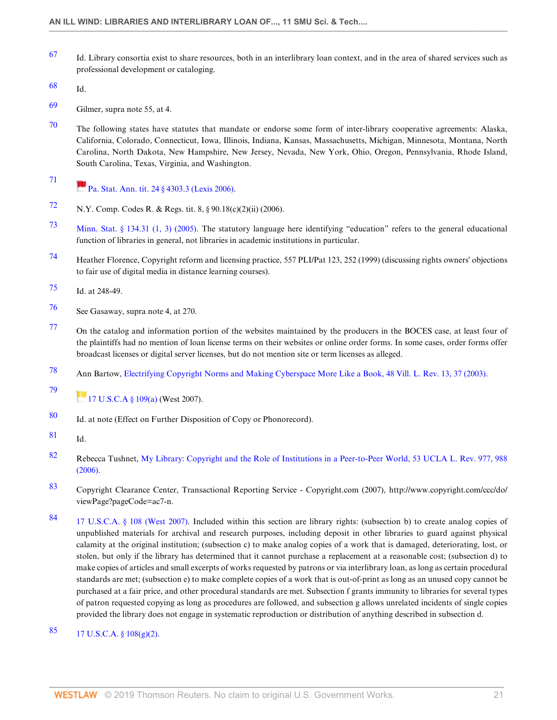- <span id="page-20-0"></span>[67](#page-4-6) Id. Library consortia exist to share resources, both in an interlibrary loan context, and in the area of shared services such as professional development or cataloging.
- <span id="page-20-1"></span>[68](#page-4-7) Id.
- <span id="page-20-2"></span>[69](#page-4-8) Gilmer, supra note 55, at 4.
- <span id="page-20-3"></span> $70$  The following states have statutes that mandate or endorse some form of inter-library cooperative agreements: Alaska, California, Colorado, Connecticut, Iowa, Illinois, Indiana, Kansas, Massachusetts, Michigan, Minnesota, Montana, North Carolina, North Dakota, New Hampshire, New Jersey, Nevada, New York, Ohio, Oregon, Pennsylvania, Rhode Island, South Carolina, Texas, Virginia, and Washington.
- <span id="page-20-4"></span>[71](#page-4-10) **Pa.** Stat. Ann. tit. 24 § 4303.3 (Lexis 2006).
- <span id="page-20-5"></span>[72](#page-4-11) N.Y. Comp. Codes R. & Regs. tit. 8, § 90.18(c)(2)(ii) (2006).
- <span id="page-20-6"></span>[73](#page-5-0) [Minn. Stat. § 134.31 \(1, 3\) \(2005\)](http://www.westlaw.com/Link/Document/FullText?findType=L&pubNum=1000044&cite=MNSTS134.31&originatingDoc=I240e9bb7137211deb055de4196f001f3&refType=LQ&originationContext=document&vr=3.0&rs=cblt1.0&transitionType=DocumentItem&contextData=(sc.Default)). The statutory language here identifying "education" refers to the general educational function of libraries in general, not libraries in academic institutions in particular.
- <span id="page-20-7"></span>[74](#page-5-1) Heather Florence, Copyright reform and licensing practice, 557 PLI/Pat 123, 252 (1999) (discussing rights owners' objections to fair use of digital media in distance learning courses).
- <span id="page-20-8"></span>[75](#page-5-2) Id. at 248-49.
- <span id="page-20-9"></span>[76](#page-5-3) See Gasaway, supra note 4, at 270.
- <span id="page-20-10"></span>[77](#page-5-4) On the catalog and information portion of the websites maintained by the producers in the BOCES case, at least four of the plaintiffs had no mention of loan license terms on their websites or online order forms. In some cases, order forms offer broadcast licenses or digital server licenses, but do not mention site or term licenses as alleged.
- <span id="page-20-11"></span>[78](#page-5-5) Ann Bartow, [Electrifying Copyright Norms and Making Cyberspace More Like a Book, 48 Vill. L. Rev. 13, 37 \(2003\)](http://www.westlaw.com/Link/Document/FullText?findType=Y&serNum=0292311283&pubNum=0001278&originatingDoc=I240e9bb7137211deb055de4196f001f3&refType=LR&fi=co_pp_sp_1278_37&originationContext=document&vr=3.0&rs=cblt1.0&transitionType=DocumentItem&contextData=(sc.Default)#co_pp_sp_1278_37).

<span id="page-20-12"></span>[79](#page-5-6)  $17 \text{ U.S. C.A } $109(a) \text{ (West } 2007).$ 

- <span id="page-20-13"></span>[80](#page-5-7) Id. at note (Effect on Further Disposition of Copy or Phonorecord).
- <span id="page-20-14"></span>[81](#page-5-8) Id.
- <span id="page-20-15"></span>[82](#page-5-9) Rebecca Tushnet, [My Library: Copyright and the Role of Institutions in a Peer-to-Peer World, 53 UCLA L. Rev. 977, 988](http://www.westlaw.com/Link/Document/FullText?findType=Y&serNum=0316530069&pubNum=0003041&originatingDoc=I240e9bb7137211deb055de4196f001f3&refType=LR&fi=co_pp_sp_3041_988&originationContext=document&vr=3.0&rs=cblt1.0&transitionType=DocumentItem&contextData=(sc.Default)#co_pp_sp_3041_988) [\(2006\).](http://www.westlaw.com/Link/Document/FullText?findType=Y&serNum=0316530069&pubNum=0003041&originatingDoc=I240e9bb7137211deb055de4196f001f3&refType=LR&fi=co_pp_sp_3041_988&originationContext=document&vr=3.0&rs=cblt1.0&transitionType=DocumentItem&contextData=(sc.Default)#co_pp_sp_3041_988)
- <span id="page-20-16"></span>[83](#page-6-0) Copyright Clearance Center, Transactional Reporting Service - Copyright.com (2007), http://www.copyright.com/ccc/do/ viewPage?pageCode=ac7-n.
- <span id="page-20-17"></span>[84](#page-6-1) [17 U.S.C.A. § 108 \(West 2007\)](http://www.westlaw.com/Link/Document/FullText?findType=L&pubNum=1000546&cite=17USCAS108&originatingDoc=I240e9bb7137211deb055de4196f001f3&refType=LQ&originationContext=document&vr=3.0&rs=cblt1.0&transitionType=DocumentItem&contextData=(sc.Default)). Included within this section are library rights: (subsection b) to create analog copies of unpublished materials for archival and research purposes, including deposit in other libraries to guard against physical calamity at the original institution; (subsection c) to make analog copies of a work that is damaged, deteriorating, lost, or stolen, but only if the library has determined that it cannot purchase a replacement at a reasonable cost; (subsection d) to make copies of articles and small excerpts of works requested by patrons or via interlibrary loan, as long as certain procedural standards are met; (subsection e) to make complete copies of a work that is out-of-print as long as an unused copy cannot be purchased at a fair price, and other procedural standards are met. Subsection f grants immunity to libraries for several types of patron requested copying as long as procedures are followed, and subsection g allows unrelated incidents of single copies provided the library does not engage in systematic reproduction or distribution of anything described in subsection d.

# <span id="page-20-18"></span>[85](#page-6-2) [17 U.S.C.A. § 108\(g\)\(2\)](http://www.westlaw.com/Link/Document/FullText?findType=L&pubNum=1000546&cite=17USCAS108&originatingDoc=I240e9bb7137211deb055de4196f001f3&refType=RB&originationContext=document&vr=3.0&rs=cblt1.0&transitionType=DocumentItem&contextData=(sc.Default)#co_pp_7952000083371).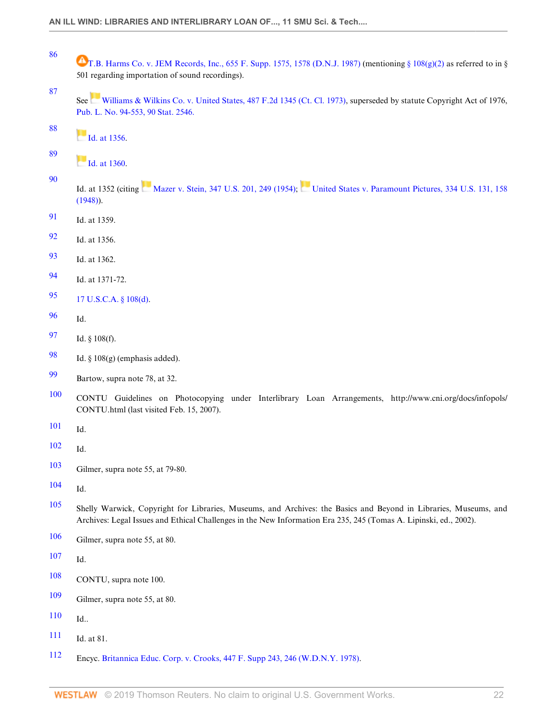- <span id="page-21-0"></span> [T.B. Harms Co. v. JEM Records, Inc., 655 F. Supp. 1575, 1578 \(D.N.J. 1987\)](http://www.westlaw.com/Link/Document/FullText?findType=Y&serNum=1987039341&pubNum=0000345&originatingDoc=I240e9bb7137211deb055de4196f001f3&refType=RP&fi=co_pp_sp_345_1578&originationContext=document&vr=3.0&rs=cblt1.0&transitionType=DocumentItem&contextData=(sc.Default)#co_pp_sp_345_1578) (mentioning [§ 108\(g\)\(2\)](http://www.westlaw.com/Link/Document/FullText?findType=L&pubNum=1000546&cite=17USCAS108&originatingDoc=I240e9bb7137211deb055de4196f001f3&refType=RB&originationContext=document&vr=3.0&rs=cblt1.0&transitionType=DocumentItem&contextData=(sc.Default)#co_pp_7952000083371) as referred to in § 501 regarding importation of sound recordings).
	- See[Williams & Wilkins Co. v. United States, 487 F.2d 1345 \(Ct. Cl. 1973\)](http://www.westlaw.com/Link/Document/FullText?findType=Y&serNum=1973112396&pubNum=0000350&originatingDoc=I240e9bb7137211deb055de4196f001f3&refType=RP&originationContext=document&vr=3.0&rs=cblt1.0&transitionType=DocumentItem&contextData=(sc.Default)), superseded by statute Copyright Act of 1976, [Pub. L. No. 94-553, 90 Stat. 2546.](http://www.westlaw.com/Link/Document/FullText?findType=l&pubNum=1077005&cite=UUID(I3EBA84836D-094354B800E-F480BFDD0A2)&originatingDoc=I240e9bb7137211deb055de4196f001f3&refType=SL&originationContext=document&vr=3.0&rs=cblt1.0&transitionType=DocumentItem&contextData=(sc.Default))
- <span id="page-21-2"></span>  $H_{\text{dd}}$  at 1356.
- <span id="page-21-3"></span> **Id.** at 1360.
- <span id="page-21-4"></span>

<span id="page-21-1"></span>

- Id. at 1352 (citing [Mazer v. Stein, 347 U.S. 201, 249 \(1954\)](http://www.westlaw.com/Link/Document/FullText?findType=Y&serNum=1954119246&pubNum=0000780&originatingDoc=I240e9bb7137211deb055de4196f001f3&refType=RP&fi=co_pp_sp_780_249&originationContext=document&vr=3.0&rs=cblt1.0&transitionType=DocumentItem&contextData=(sc.Default)#co_pp_sp_780_249); [United States v. Paramount Pictures, 334 U.S. 131, 158](http://www.westlaw.com/Link/Document/FullText?findType=Y&serNum=1948118957&pubNum=0000780&originatingDoc=I240e9bb7137211deb055de4196f001f3&refType=RP&fi=co_pp_sp_780_158&originationContext=document&vr=3.0&rs=cblt1.0&transitionType=DocumentItem&contextData=(sc.Default)#co_pp_sp_780_158) [\(1948\)\)](http://www.westlaw.com/Link/Document/FullText?findType=Y&serNum=1948118957&pubNum=0000780&originatingDoc=I240e9bb7137211deb055de4196f001f3&refType=RP&fi=co_pp_sp_780_158&originationContext=document&vr=3.0&rs=cblt1.0&transitionType=DocumentItem&contextData=(sc.Default)#co_pp_sp_780_158).
- <span id="page-21-5"></span>Id. at 1359.
- <span id="page-21-6"></span>Id. at 1356.
- <span id="page-21-7"></span>Id. at 1362.
- <span id="page-21-8"></span>Id. at 1371-72.
- <span id="page-21-9"></span>[17 U.S.C.A. § 108\(d\)](http://www.westlaw.com/Link/Document/FullText?findType=L&pubNum=1000546&cite=17USCAS108&originatingDoc=I240e9bb7137211deb055de4196f001f3&refType=RB&originationContext=document&vr=3.0&rs=cblt1.0&transitionType=DocumentItem&contextData=(sc.Default)#co_pp_5ba1000067d06).
- <span id="page-21-10"></span>Id.
- <span id="page-21-11"></span>Id. § 108(f).
- <span id="page-21-12"></span>[98](#page-7-2) Id.  $\S 108(g)$  (emphasis added).
- <span id="page-21-13"></span>Bartow, supra note 78, at 32.
- <span id="page-21-14"></span> CONTU Guidelines on Photocopying under Interlibrary Loan Arrangements, http://www.cni.org/docs/infopols/ CONTU.html (last visited Feb. 15, 2007).
- <span id="page-21-15"></span>Id.
- <span id="page-21-16"></span>Id.
- <span id="page-21-17"></span>Gilmer, supra note 55, at 79-80.
- <span id="page-21-18"></span>Id.
- <span id="page-21-19"></span> Shelly Warwick, Copyright for Libraries, Museums, and Archives: the Basics and Beyond in Libraries, Museums, and Archives: Legal Issues and Ethical Challenges in the New Information Era 235, 245 (Tomas A. Lipinski, ed., 2002).
- <span id="page-21-20"></span>Gilmer, supra note 55, at 80.
- <span id="page-21-21"></span>Id.
- <span id="page-21-22"></span>CONTU, supra note 100.
- <span id="page-21-23"></span>Gilmer, supra note 55, at 80.
- <span id="page-21-24"></span>Id..
- <span id="page-21-25"></span>Id. at 81.
- <span id="page-21-26"></span>Encyc. [Britannica Educ. Corp. v. Crooks, 447 F. Supp 243, 246 \(W.D.N.Y. 1978\).](http://www.westlaw.com/Link/Document/FullText?findType=Y&serNum=1978104242&pubNum=0000345&originatingDoc=I240e9bb7137211deb055de4196f001f3&refType=RP&fi=co_pp_sp_345_246&originationContext=document&vr=3.0&rs=cblt1.0&transitionType=DocumentItem&contextData=(sc.Default)#co_pp_sp_345_246)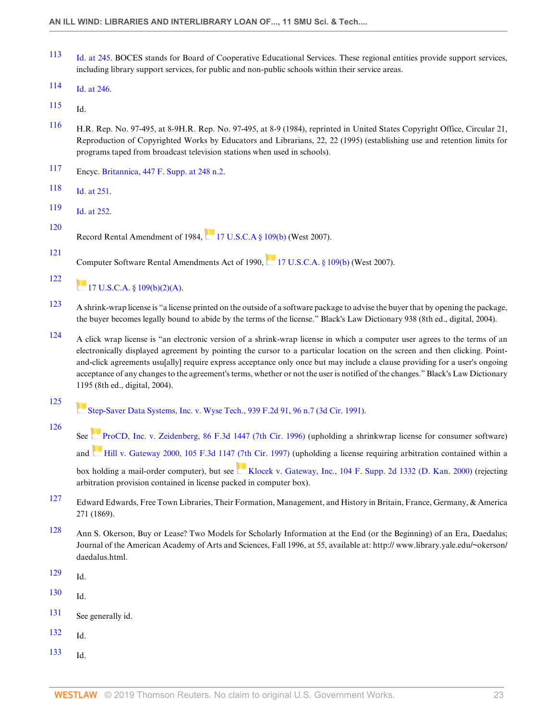- <span id="page-22-0"></span>[113](#page-8-14) [Id. at 245](http://www.westlaw.com/Link/Document/FullText?findType=Y&serNum=1978104242&pubNum=0000345&originatingDoc=I240e9bb7137211deb055de4196f001f3&refType=RP&fi=co_pp_sp_345_245&originationContext=document&vr=3.0&rs=cblt1.0&transitionType=DocumentItem&contextData=(sc.Default)#co_pp_sp_345_245). BOCES stands for Board of Cooperative Educational Services. These regional entities provide support services, including library support services, for public and non-public schools within their service areas.
- <span id="page-22-1"></span>[114](#page-8-15) [Id. at 246](http://www.westlaw.com/Link/Document/FullText?findType=Y&serNum=1978104242&pubNum=0000345&originatingDoc=I240e9bb7137211deb055de4196f001f3&refType=RP&fi=co_pp_sp_345_246&originationContext=document&vr=3.0&rs=cblt1.0&transitionType=DocumentItem&contextData=(sc.Default)#co_pp_sp_345_246).
- <span id="page-22-2"></span> $115$  Id.
- <span id="page-22-3"></span>[116](#page-8-17) H.R. Rep. No. 97-495, at 8-9H.R. Rep. No. 97-495, at 8-9 (1984), reprinted in United States Copyright Office, Circular 21, Reproduction of Copyrighted Works by Educators and Librarians, 22, 22 (1995) (establishing use and retention limits for programs taped from broadcast television stations when used in schools).
- <span id="page-22-4"></span>[117](#page-8-18) Encyc. [Britannica, 447 F. Supp. at 248 n.2](http://www.westlaw.com/Link/Document/FullText?findType=Y&serNum=1978104242&pubNum=0000345&originatingDoc=I240e9bb7137211deb055de4196f001f3&refType=RP&fi=co_pp_sp_345_248&originationContext=document&vr=3.0&rs=cblt1.0&transitionType=DocumentItem&contextData=(sc.Default)#co_pp_sp_345_248).
- <span id="page-22-5"></span>[118](#page-8-19) [Id. at 251](http://www.westlaw.com/Link/Document/FullText?findType=Y&serNum=1978104242&pubNum=0000345&originatingDoc=I240e9bb7137211deb055de4196f001f3&refType=RP&fi=co_pp_sp_345_251&originationContext=document&vr=3.0&rs=cblt1.0&transitionType=DocumentItem&contextData=(sc.Default)#co_pp_sp_345_251).
- <span id="page-22-6"></span>[119](#page-8-20) [Id. at 252](http://www.westlaw.com/Link/Document/FullText?findType=Y&serNum=1978104242&pubNum=0000345&originatingDoc=I240e9bb7137211deb055de4196f001f3&refType=RP&fi=co_pp_sp_345_252&originationContext=document&vr=3.0&rs=cblt1.0&transitionType=DocumentItem&contextData=(sc.Default)#co_pp_sp_345_252).
- <span id="page-22-7"></span>[120](#page-9-0)

<span id="page-22-8"></span>[121](#page-9-1)

RecordRental Amendment of 1984,  $17 \text{ U.S. C.A} \& 109(b)$  (West 2007).

Computer Software Rental Amendments Act of 1990,[17 U.S.C.A. § 109\(b\)](http://www.westlaw.com/Link/Document/FullText?findType=L&pubNum=1000546&cite=17USCAS109&originatingDoc=I240e9bb7137211deb055de4196f001f3&refType=RB&originationContext=document&vr=3.0&rs=cblt1.0&transitionType=DocumentItem&contextData=(sc.Default)#co_pp_a83b000018c76) (West 2007).

<span id="page-22-9"></span>[122](#page-9-2)  $17 \text{ U.S.C.A. }$  \$ 109(b)(2)(A).

- <span id="page-22-10"></span>[123](#page-9-3) A shrink-wrap license is "a license printed on the outside of a software package to advise the buyer that by opening the package, the buyer becomes legally bound to abide by the terms of the license." Black's Law Dictionary 938 (8th ed., digital, 2004).
- <span id="page-22-11"></span>[124](#page-9-4) A click wrap license is "an electronic version of a shrink-wrap license in which a computer user agrees to the terms of an electronically displayed agreement by pointing the cursor to a particular location on the screen and then clicking. Pointand-click agreements usu[ally] require express acceptance only once but may include a clause providing for a user's ongoing acceptance of any changes to the agreement's terms, whether or not the user is notified of the changes." Black's Law Dictionary 1195 (8th ed., digital, 2004).
- <span id="page-22-12"></span>[125](#page-9-5) [Step-Saver Data Systems, Inc. v. Wyse Tech., 939 F.2d 91, 96 n.7 \(3d Cir. 1991\)](http://www.westlaw.com/Link/Document/FullText?findType=Y&serNum=1991131033&pubNum=0000350&originatingDoc=I240e9bb7137211deb055de4196f001f3&refType=RP&fi=co_pp_sp_350_96&originationContext=document&vr=3.0&rs=cblt1.0&transitionType=DocumentItem&contextData=(sc.Default)#co_pp_sp_350_96).
- <span id="page-22-13"></span>[126](#page-9-6)

See [ProCD, Inc. v. Zeidenberg, 86 F.3d 1447 \(7th Cir. 1996\)](http://www.westlaw.com/Link/Document/FullText?findType=Y&serNum=1996139807&pubNum=0000506&originatingDoc=I240e9bb7137211deb055de4196f001f3&refType=RP&originationContext=document&vr=3.0&rs=cblt1.0&transitionType=DocumentItem&contextData=(sc.Default)) (upholding a shrinkwrap license for consumer software) and [Hill v. Gateway 2000, 105 F.3d 1147 \(7th Cir. 1997\)](http://www.westlaw.com/Link/Document/FullText?findType=Y&serNum=1997025630&pubNum=0000506&originatingDoc=I240e9bb7137211deb055de4196f001f3&refType=RP&originationContext=document&vr=3.0&rs=cblt1.0&transitionType=DocumentItem&contextData=(sc.Default)) (upholding a license requiring arbitration contained within a

box holding a mail-order computer), but see [Klocek v. Gateway, Inc., 104 F. Supp. 2d 1332 \(D. Kan. 2000\)](http://www.westlaw.com/Link/Document/FullText?findType=Y&serNum=2000438798&pubNum=0004637&originatingDoc=I240e9bb7137211deb055de4196f001f3&refType=RP&originationContext=document&vr=3.0&rs=cblt1.0&transitionType=DocumentItem&contextData=(sc.Default)) (rejecting arbitration provision contained in license packed in computer box).

- <span id="page-22-14"></span>[127](#page-9-7) Edward Edwards, Free Town Libraries, Their Formation, Management, and History in Britain, France, Germany, & America 271 (1869).
- <span id="page-22-15"></span>[128](#page-9-8) Ann S. Okerson, Buy or Lease? Two Models for Scholarly Information at the End (or the Beginning) of an Era, Daedalus; Journal of the American Academy of Arts and Sciences, Fall 1996, at 55, available at: http:// www.library.yale.edu/~okerson/ daedalus.html.
- <span id="page-22-16"></span> $129$  Id.
- <span id="page-22-17"></span> $130$  Id.
- <span id="page-22-18"></span>[131](#page-9-11) See generally id.
- <span id="page-22-19"></span>[132](#page-9-12) Id.
- <span id="page-22-20"></span>[133](#page-9-13) Id.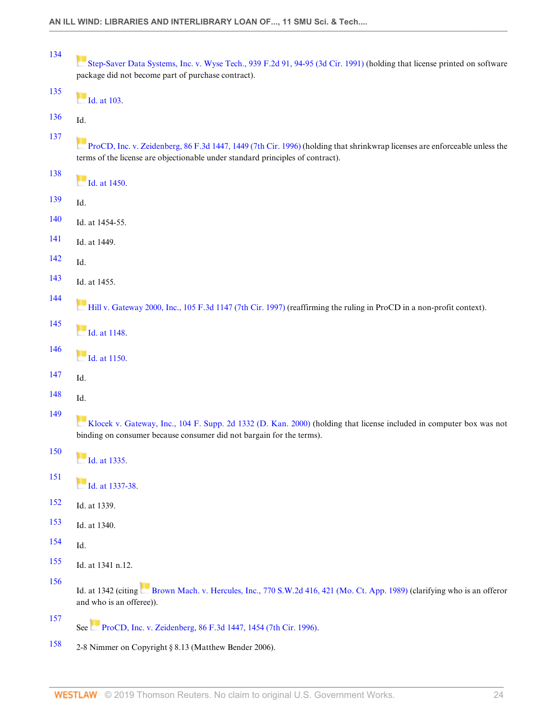<span id="page-23-12"></span><span id="page-23-11"></span><span id="page-23-10"></span><span id="page-23-9"></span><span id="page-23-8"></span><span id="page-23-7"></span><span id="page-23-6"></span><span id="page-23-5"></span><span id="page-23-4"></span><span id="page-23-3"></span><span id="page-23-2"></span><span id="page-23-1"></span><span id="page-23-0"></span>

| 134 | Step-Saver Data Systems, Inc. v. Wyse Tech., 939 F.2d 91, 94-95 (3d Cir. 1991) (holding that license printed on software<br>package did not become part of purchase contract).                               |
|-----|--------------------------------------------------------------------------------------------------------------------------------------------------------------------------------------------------------------|
| 135 | <b>Id.</b> at 103.                                                                                                                                                                                           |
| 136 | Id.                                                                                                                                                                                                          |
| 137 | ProCD, Inc. v. Zeidenberg, 86 F.3d 1447, 1449 (7th Cir. 1996) (holding that shrinkwrap licenses are enforceable unless the<br>terms of the license are objectionable under standard principles of contract). |
| 138 | $Id.$ at 1450.                                                                                                                                                                                               |
| 139 | Id.                                                                                                                                                                                                          |
| 140 | Id. at 1454-55.                                                                                                                                                                                              |
| 141 | Id. at 1449.                                                                                                                                                                                                 |
| 142 | Id.                                                                                                                                                                                                          |
| 143 | Id. at 1455.                                                                                                                                                                                                 |
| 144 | Hill v. Gateway 2000, Inc., 105 F.3d 1147 (7th Cir. 1997) (reaffirming the ruling in ProCD in a non-profit context).                                                                                         |
| 145 | $\blacksquare$ Id. at 1148.                                                                                                                                                                                  |
| 146 | $\blacksquare$ Id. at 1150.                                                                                                                                                                                  |
| 147 | Id.                                                                                                                                                                                                          |
| 148 | Id.                                                                                                                                                                                                          |
| 149 | Klocek v. Gateway, Inc., 104 F. Supp. 2d 1332 (D. Kan. 2000) (holding that license included in computer box was not<br>binding on consumer because consumer did not bargain for the terms).                  |
| 150 | $Id.$ at 1335.                                                                                                                                                                                               |
| 151 | Id. at 1337-38.                                                                                                                                                                                              |
| 152 | Id. at 1339.                                                                                                                                                                                                 |
| 153 | Id. at 1340.                                                                                                                                                                                                 |
| 154 | Id.                                                                                                                                                                                                          |
| 155 | Id. at 1341 n.12.                                                                                                                                                                                            |
| 156 | Id. at 1342 (citing Brown Mach. v. Hercules, Inc., 770 S.W.2d 416, 421 (Mo. Ct. App. 1989) (clarifying who is an offeror<br>and who is an offeree)).                                                         |
| 157 | See ProCD, Inc. v. Zeidenberg, 86 F.3d 1447, 1454 (7th Cir. 1996).                                                                                                                                           |

<span id="page-23-24"></span><span id="page-23-23"></span><span id="page-23-22"></span><span id="page-23-21"></span><span id="page-23-20"></span><span id="page-23-19"></span><span id="page-23-18"></span><span id="page-23-17"></span><span id="page-23-16"></span><span id="page-23-15"></span><span id="page-23-14"></span><span id="page-23-13"></span>[158](#page-11-1) 2-8 Nimmer on Copyright § 8.13 (Matthew Bender 2006).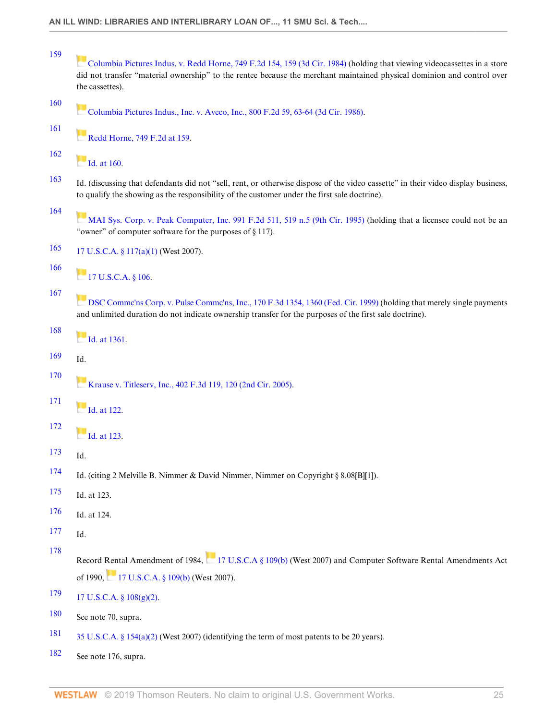<span id="page-24-23"></span><span id="page-24-22"></span><span id="page-24-21"></span><span id="page-24-20"></span><span id="page-24-19"></span><span id="page-24-18"></span><span id="page-24-17"></span><span id="page-24-16"></span><span id="page-24-15"></span><span id="page-24-14"></span><span id="page-24-13"></span><span id="page-24-12"></span><span id="page-24-11"></span><span id="page-24-10"></span><span id="page-24-9"></span><span id="page-24-8"></span><span id="page-24-7"></span><span id="page-24-6"></span><span id="page-24-5"></span><span id="page-24-4"></span><span id="page-24-3"></span><span id="page-24-2"></span><span id="page-24-1"></span><span id="page-24-0"></span>

| 159        | Columbia Pictures Indus. v. Redd Horne, 749 F.2d 154, 159 (3d Cir. 1984) (holding that viewing videocassettes in a store<br>did not transfer "material ownership" to the rentee because the merchant maintained physical dominion and control over<br>the cassettes). |
|------------|-----------------------------------------------------------------------------------------------------------------------------------------------------------------------------------------------------------------------------------------------------------------------|
| 160        | Columbia Pictures Indus., Inc. v. Aveco, Inc., 800 F.2d 59, 63-64 (3d Cir. 1986).                                                                                                                                                                                     |
| 161        | Redd Horne, 749 F.2d at 159.                                                                                                                                                                                                                                          |
| 162        | $\blacksquare$ Id. at 160.                                                                                                                                                                                                                                            |
| 163        | Id. (discussing that defendants did not "sell, rent, or otherwise dispose of the video cassette" in their video display business,<br>to qualify the showing as the responsibility of the customer under the first sale doctrine).                                     |
| 164        | MAI Sys. Corp. v. Peak Computer, Inc. 991 F.2d 511, 519 n.5 (9th Cir. 1995) (holding that a licensee could not be an<br>"owner" of computer software for the purposes of $\S 117$ ).                                                                                  |
| 165        | 17 U.S.C.A. § 117(a)(1) (West 2007).                                                                                                                                                                                                                                  |
| 166        | 17 U.S.C.A. § 106.                                                                                                                                                                                                                                                    |
| 167        | DSC Commc'ns Corp. v. Pulse Commc'ns, Inc., 170 F.3d 1354, 1360 (Fed. Cir. 1999) (holding that merely single payments<br>and unlimited duration do not indicate ownership transfer for the purposes of the first sale doctrine).                                      |
| 168        | $Id.$ at 1361.                                                                                                                                                                                                                                                        |
| 169        | Id.                                                                                                                                                                                                                                                                   |
| 170        | <b>Krause</b> v. Titleserv, Inc., 402 F.3d 119, 120 (2nd Cir. 2005).                                                                                                                                                                                                  |
| <b>171</b> | $Id.$ at 122.                                                                                                                                                                                                                                                         |
| 172        | $Id.$ at 123.                                                                                                                                                                                                                                                         |
| 173        | Id.                                                                                                                                                                                                                                                                   |
| 174        | Id. (citing 2 Melville B. Nimmer & David Nimmer, Nimmer on Copyright § 8.08[B][1]).                                                                                                                                                                                   |
| 175        | Id. at 123.                                                                                                                                                                                                                                                           |
| 176        | Id. at 124.                                                                                                                                                                                                                                                           |
| 177        | Id.                                                                                                                                                                                                                                                                   |
| 178        | Record Rental Amendment of 1984, 17 U.S.C.A § 109(b) (West 2007) and Computer Software Rental Amendments Act                                                                                                                                                          |
|            | of 1990, 17 U.S.C.A. § 109(b) (West 2007).                                                                                                                                                                                                                            |
| 179        | 17 U.S.C.A. § 108(g)(2).                                                                                                                                                                                                                                              |
| 180        | See note 70, supra.                                                                                                                                                                                                                                                   |
| 181        | 35 U.S.C.A. § 154(a)(2) (West 2007) (identifying the term of most patents to be 20 years).                                                                                                                                                                            |
| 182        | See note 176, supra.                                                                                                                                                                                                                                                  |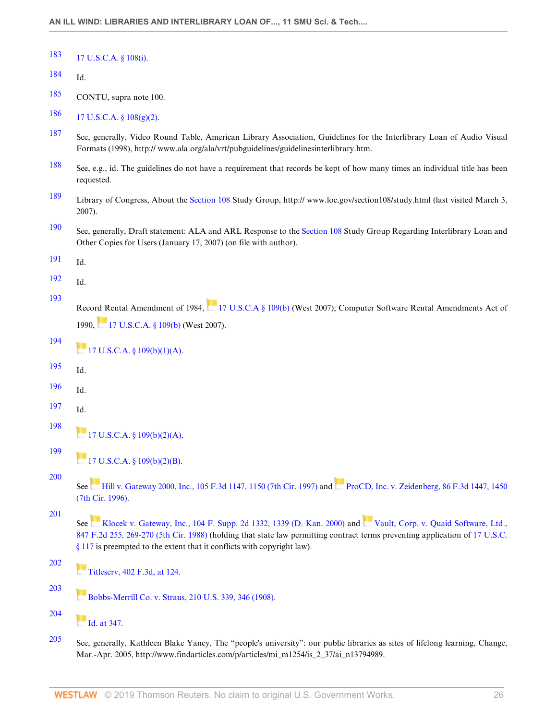<span id="page-25-0"></span>

| 183 | 17 U.S.C.A. § 108(i). |  |
|-----|-----------------------|--|
|     |                       |  |

- <span id="page-25-1"></span>[184](#page-13-2) Id.
- <span id="page-25-2"></span>[185](#page-13-3) CONTU, supra note 100.

# <span id="page-25-3"></span>[186](#page-13-4) 17 U.S.C.A. §  $108(g)(2)$ .

- <span id="page-25-4"></span>[187](#page-14-0) See, generally, Video Round Table, American Library Association, Guidelines for the Interlibrary Loan of Audio Visual Formats (1998), http:// www.ala.org/ala/vrt/pubguidelines/guidelinesinterlibrary.htm.
- <span id="page-25-5"></span>[188](#page-14-1) See, e.g., id. The guidelines do not have a requirement that records be kept of how many times an individual title has been requested.
- <span id="page-25-6"></span>[189](#page-14-2) Library of Congress, About the [Section 108](http://www.westlaw.com/Link/Document/FullText?findType=L&pubNum=1000546&cite=17USCAS108&originatingDoc=I240e9bb7137211deb055de4196f001f3&refType=LQ&originationContext=document&vr=3.0&rs=cblt1.0&transitionType=DocumentItem&contextData=(sc.Default)) Study Group, http:// www.loc.gov/section108/study.html (last visited March 3, 2007).
- <span id="page-25-7"></span>[190](#page-14-3) See, generally, Draft statement: ALA and ARL Response to the [Section 108](http://www.westlaw.com/Link/Document/FullText?findType=L&pubNum=1000546&cite=17USCAS108&originatingDoc=I240e9bb7137211deb055de4196f001f3&refType=LQ&originationContext=document&vr=3.0&rs=cblt1.0&transitionType=DocumentItem&contextData=(sc.Default)) Study Group Regarding Interlibrary Loan and Other Copies for Users (January 17, 2007) (on file with author).
- <span id="page-25-8"></span>[191](#page-14-4) Id.
- <span id="page-25-9"></span>[192](#page-14-5) Id.

<span id="page-25-10"></span>[193](#page-14-6)

Record Rental Amendment of 1984, [17 U.S.C.A § 109\(b\)](http://www.westlaw.com/Link/Document/FullText?findType=L&pubNum=1000546&cite=17USCAS109&originatingDoc=I240e9bb7137211deb055de4196f001f3&refType=RB&originationContext=document&vr=3.0&rs=cblt1.0&transitionType=DocumentItem&contextData=(sc.Default)#co_pp_a83b000018c76) (West 2007); Computer Software Rental Amendments Act of 1990, [17 U.S.C.A. § 109\(b\)](http://www.westlaw.com/Link/Document/FullText?findType=L&pubNum=1000546&cite=17USCAS109&originatingDoc=I240e9bb7137211deb055de4196f001f3&refType=RB&originationContext=document&vr=3.0&rs=cblt1.0&transitionType=DocumentItem&contextData=(sc.Default)#co_pp_a83b000018c76) (West 2007).

<span id="page-25-17"></span><span id="page-25-16"></span><span id="page-25-15"></span><span id="page-25-14"></span><span id="page-25-13"></span><span id="page-25-12"></span><span id="page-25-11"></span>

| 194                      | 17 U.S.C.A. § 109(b)(1)(A).                                                                                                                                                                                                                                                                                                  |
|--------------------------|------------------------------------------------------------------------------------------------------------------------------------------------------------------------------------------------------------------------------------------------------------------------------------------------------------------------------|
| 195                      | Id.                                                                                                                                                                                                                                                                                                                          |
| 196                      | Id.                                                                                                                                                                                                                                                                                                                          |
| 197                      | Id.                                                                                                                                                                                                                                                                                                                          |
| 198                      | $17 \text{ U.S. C.A. }$ § 109(b)(2)(A).                                                                                                                                                                                                                                                                                      |
| 199                      | $17 \text{ U.S. C.A. }$ § 109(b)(2)(B).                                                                                                                                                                                                                                                                                      |
| 200                      | See Hill v. Gateway 2000, Inc., 105 F.3d 1147, 1150 (7th Cir. 1997) and ProCD, Inc. v. Zeidenberg, 86 F.3d 1447, 1450<br>(7th Cir. 1996).                                                                                                                                                                                    |
| 201                      | See Klocek v. Gateway, Inc., 104 F. Supp. 2d 1332, 1339 (D. Kan. 2000) and Vault, Corp. v. Quaid Software, Ltd.,<br>847 F.2d 255, 269-270 (5th Cir. 1988) (holding that state law permitting contract terms preventing application of 17 U.S.C.<br>$§$ 117 is preempted to the extent that it conflicts with copyright law). |
| 202                      | Titleserv, 402 F.3d, at 124.                                                                                                                                                                                                                                                                                                 |
| 203                      | Bobbs-Merrill Co. v. Straus, 210 U.S. 339, 346 (1908).                                                                                                                                                                                                                                                                       |
| 204                      | Id. at 347.                                                                                                                                                                                                                                                                                                                  |
| $\Delta \Delta \epsilon$ |                                                                                                                                                                                                                                                                                                                              |

<span id="page-25-22"></span><span id="page-25-21"></span><span id="page-25-20"></span><span id="page-25-19"></span><span id="page-25-18"></span>[205](#page-16-4) See, generally, Kathleen Blake Yancy, The "people's university": our public libraries as sites of lifelong learning, Change, Mar.-Apr. 2005, http://www.findarticles.com/p/articles/mi\_m1254/is\_2\_37/ai\_n13794989.